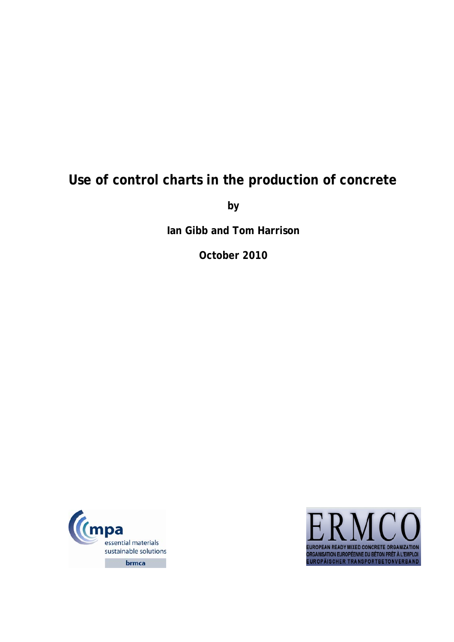# **Use of control charts in the production of concrete**

**by** 

**Ian Gibb and Tom Harrison** 

**October 2010** 



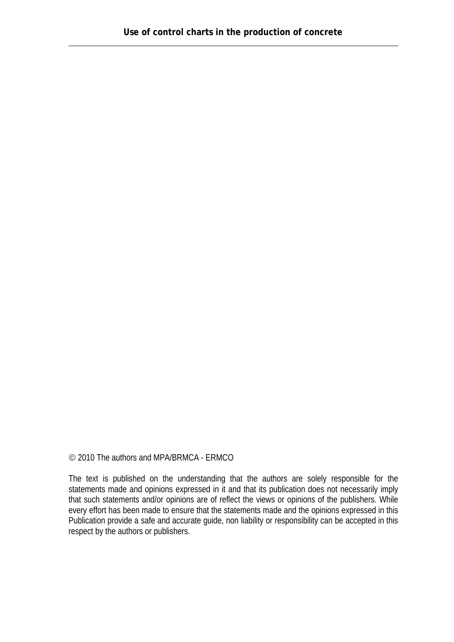© 2010 The authors and MPA/BRMCA - ERMCO

The text is published on the understanding that the authors are solely responsible for the statements made and opinions expressed in it and that its publication does not necessarily imply that such statements and/or opinions are of reflect the views or opinions of the publishers. While every effort has been made to ensure that the statements made and the opinions expressed in this Publication provide a safe and accurate guide, non liability or responsibility can be accepted in this respect by the authors or publishers.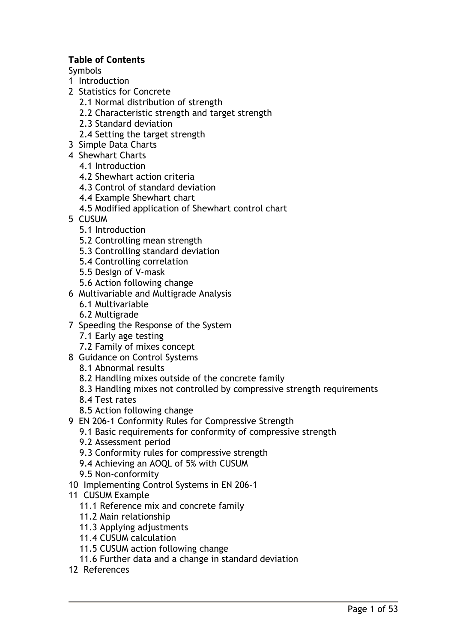#### **Table of Contents**

Symbols

- 1 Introduction
- 2 Statistics for Concrete
	- 2.1 Normal distribution of strength
	- 2.2 Characteristic strength and target strength
	- 2.3 Standard deviation
	- 2.4 Setting the target strength
- 3 Simple Data Charts
- 4 Shewhart Charts
	- 4.1 Introduction
	- 4.2 Shewhart action criteria
	- 4.3 Control of standard deviation
	- 4.4 Example Shewhart chart
	- 4.5 Modified application of Shewhart control chart
- 5 CUSUM
	- 5.1 Introduction
	- 5.2 Controlling mean strength
	- 5.3 Controlling standard deviation
	- 5.4 Controlling correlation
	- 5.5 Design of V-mask
	- 5.6 Action following change
- 6 Multivariable and Multigrade Analysis
	- 6.1 Multivariable
	- 6.2 Multigrade
- 7 Speeding the Response of the System
	- 7.1 Early age testing
	- 7.2 Family of mixes concept
- 8 Guidance on Control Systems
	- 8.1 Abnormal results
	- 8.2 Handling mixes outside of the concrete family
	- 8.3 Handling mixes not controlled by compressive strength requirements
	- 8.4 Test rates
	- 8.5 Action following change
- 9 EN 206-1 Conformity Rules for Compressive Strength
	- 9.1 Basic requirements for conformity of compressive strength
	- 9.2 Assessment period
	- 9.3 Conformity rules for compressive strength
	- 9.4 Achieving an AOQL of 5% with CUSUM
	- 9.5 Non-conformity
- 10 Implementing Control Systems in EN 206-1
- 11 CUSUM Example
	- 11.1 Reference mix and concrete family
	- 11.2 Main relationship
	- 11.3 Applying adjustments
	- 11.4 CUSUM calculation
	- 11.5 CUSUM action following change
	- 11.6 Further data and a change in standard deviation
- 12 References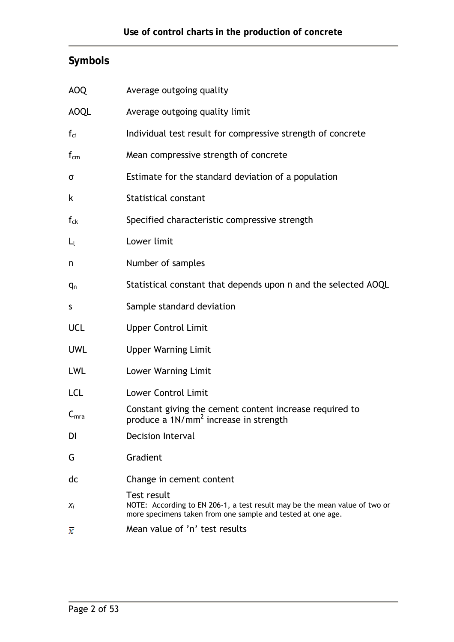# **Symbols**

| <b>AOQ</b>            | Average outgoing quality                                                                                                                                 |
|-----------------------|----------------------------------------------------------------------------------------------------------------------------------------------------------|
| <b>AOQL</b>           | Average outgoing quality limit                                                                                                                           |
| $f_{\text{ci}}$       | Individual test result for compressive strength of concrete                                                                                              |
| $f_{cm}$              | Mean compressive strength of concrete                                                                                                                    |
| σ                     | Estimate for the standard deviation of a population                                                                                                      |
| k                     | <b>Statistical constant</b>                                                                                                                              |
| $\boldsymbol{f}_{ck}$ | Specified characteristic compressive strength                                                                                                            |
| $L_l$                 | Lower limit                                                                                                                                              |
| n                     | Number of samples                                                                                                                                        |
| $q_n$                 | Statistical constant that depends upon n and the selected AOQL                                                                                           |
| S                     | Sample standard deviation                                                                                                                                |
| <b>UCL</b>            | <b>Upper Control Limit</b>                                                                                                                               |
| <b>UWL</b>            | <b>Upper Warning Limit</b>                                                                                                                               |
| <b>LWL</b>            | Lower Warning Limit                                                                                                                                      |
| <b>LCL</b>            | <b>Lower Control Limit</b>                                                                                                                               |
| $C_{mra}$             | Constant giving the cement content increase required to<br>produce a 1N/mm <sup>2</sup> increase in strength                                             |
| DI                    | <b>Decision Interval</b>                                                                                                                                 |
| G                     | Gradient                                                                                                                                                 |
| dc                    | Change in cement content                                                                                                                                 |
| $X_i$                 | Test result<br>NOTE: According to EN 206-1, a test result may be the mean value of two or<br>more specimens taken from one sample and tested at one age. |
| x                     | Mean value of 'n' test results                                                                                                                           |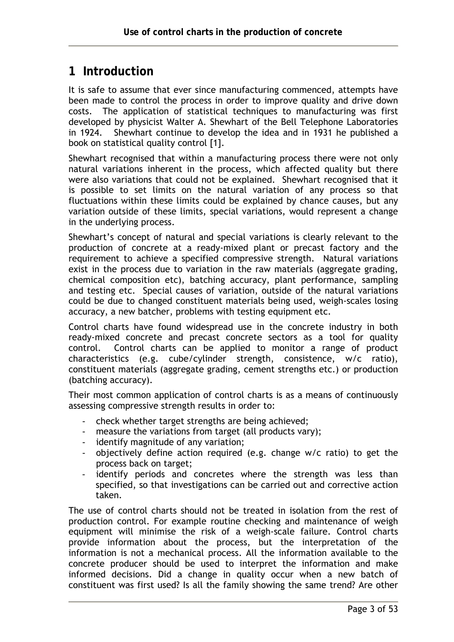# **1 Introduction**

It is safe to assume that ever since manufacturing commenced, attempts have been made to control the process in order to improve quality and drive down costs. The application of statistical techniques to manufacturing was first developed by physicist Walter A. Shewhart of the Bell Telephone Laboratories in 1924. Shewhart continue to develop the idea and in 1931 he published a book on statistical quality control [1].

Shewhart recognised that within a manufacturing process there were not only natural variations inherent in the process, which affected quality but there were also variations that could not be explained. Shewhart recognised that it is possible to set limits on the natural variation of any process so that fluctuations within these limits could be explained by chance causes, but any variation outside of these limits, special variations, would represent a change in the underlying process.

Shewhart's concept of natural and special variations is clearly relevant to the production of concrete at a ready-mixed plant or precast factory and the requirement to achieve a specified compressive strength. Natural variations exist in the process due to variation in the raw materials (aggregate grading, chemical composition etc), batching accuracy, plant performance, sampling and testing etc. Special causes of variation, outside of the natural variations could be due to changed constituent materials being used, weigh-scales losing accuracy, a new batcher, problems with testing equipment etc.

Control charts have found widespread use in the concrete industry in both ready-mixed concrete and precast concrete sectors as a tool for quality control. Control charts can be applied to monitor a range of product characteristics (e.g. cube/cylinder strength, consistence, w/c ratio), constituent materials (aggregate grading, cement strengths etc.) or production (batching accuracy).

Their most common application of control charts is as a means of continuously assessing compressive strength results in order to:

- check whether target strengths are being achieved;
- measure the variations from target (all products vary);
- identify magnitude of any variation;
- objectively define action required (e.g. change w/c ratio) to get the process back on target;
- identify periods and concretes where the strength was less than specified, so that investigations can be carried out and corrective action taken.

The use of control charts should not be treated in isolation from the rest of production control. For example routine checking and maintenance of weigh equipment will minimise the risk of a weigh-scale failure. Control charts provide information about the process, but the interpretation of the information is not a mechanical process. All the information available to the concrete producer should be used to interpret the information and make informed decisions. Did a change in quality occur when a new batch of constituent was first used? Is all the family showing the same trend? Are other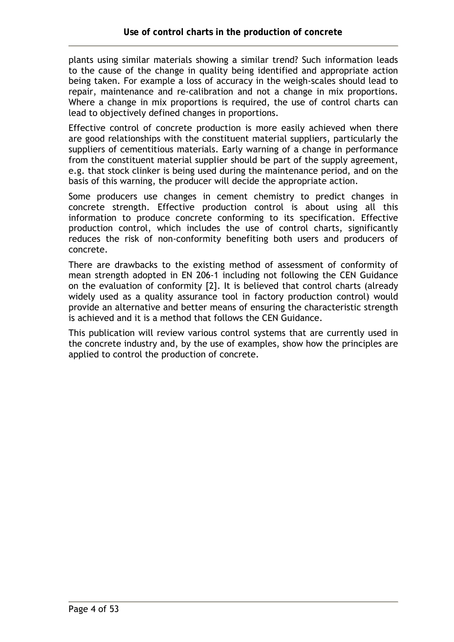plants using similar materials showing a similar trend? Such information leads to the cause of the change in quality being identified and appropriate action being taken. For example a loss of accuracy in the weigh-scales should lead to repair, maintenance and re-calibration and not a change in mix proportions. Where a change in mix proportions is required, the use of control charts can lead to objectively defined changes in proportions.

Effective control of concrete production is more easily achieved when there are good relationships with the constituent material suppliers, particularly the suppliers of cementitious materials. Early warning of a change in performance from the constituent material supplier should be part of the supply agreement, e.g. that stock clinker is being used during the maintenance period, and on the basis of this warning, the producer will decide the appropriate action.

Some producers use changes in cement chemistry to predict changes in concrete strength. Effective production control is about using all this information to produce concrete conforming to its specification. Effective production control, which includes the use of control charts, significantly reduces the risk of non-conformity benefiting both users and producers of concrete.

There are drawbacks to the existing method of assessment of conformity of mean strength adopted in EN 206-1 including not following the CEN Guidance on the evaluation of conformity [2]. It is believed that control charts (already widely used as a quality assurance tool in factory production control) would provide an alternative and better means of ensuring the characteristic strength is achieved and it is a method that follows the CEN Guidance.

This publication will review various control systems that are currently used in the concrete industry and, by the use of examples, show how the principles are applied to control the production of concrete.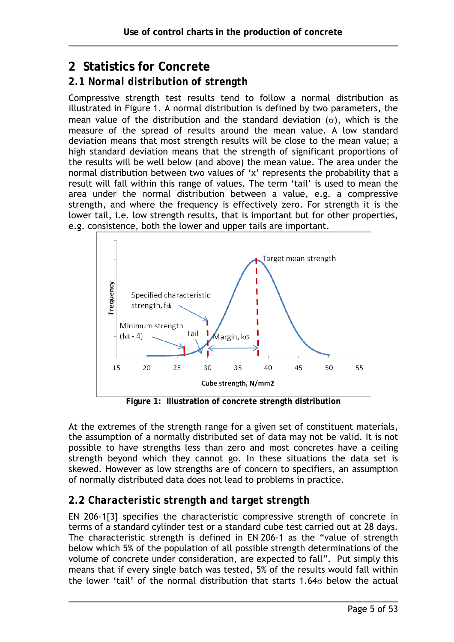# **2 Statistics for Concrete**

## *2.1 Normal distribution of strength*

Compressive strength test results tend to follow a normal distribution as illustrated in Figure 1. A normal distribution is defined by two parameters, the mean value of the distribution and the standard deviation  $(\sigma)$ , which is the measure of the spread of results around the mean value. A low standard deviation means that most strength results will be close to the mean value; a high standard deviation means that the strength of significant proportions of the results will be well below (and above) the mean value. The area under the normal distribution between two values of 'x' represents the probability that a result will fall within this range of values. The term 'tail' is used to mean the area under the normal distribution between a value, e.g. a compressive strength, and where the frequency is effectively zero. For strength it is the lower tail, i.e. low strength results, that is important but for other properties, e.g. consistence, both the lower and upper tails are important.



**Figure 1: Illustration of concrete strength distribution** 

At the extremes of the strength range for a given set of constituent materials, the assumption of a normally distributed set of data may not be valid. It is not possible to have strengths less than zero and most concretes have a ceiling strength beyond which they cannot go. In these situations the data set is skewed. However as low strengths are of concern to specifiers, an assumption of normally distributed data does not lead to problems in practice.

## *2.2 Characteristic strength and target strength*

EN 206-1[3] specifies the characteristic compressive strength of concrete in terms of a standard cylinder test or a standard cube test carried out at 28 days. The characteristic strength is defined in EN 206-1 as the "value of strength below which 5% of the population of all possible strength determinations of the volume of concrete under consideration, are expected to fall". Put simply this means that if every single batch was tested, 5% of the results would fall within the lower 'tail' of the normal distribution that starts 1.64 $\sigma$  below the actual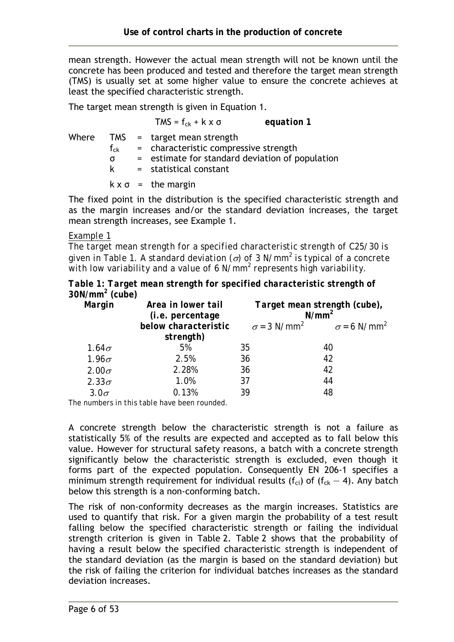mean strength. However the actual mean strength will not be known until the concrete has been produced and tested and therefore the target mean strength (TMS) is usually set at some higher value to ensure the concrete achieves at least the specified characteristic strength.

The target mean strength is given in Equation 1.

TMS =  $f_{ck}$  + k x  $\sigma$  *equation 1* Where TMS = target mean strength  $f_{ck}$  = characteristic compressive strength σ = estimate for standard deviation of population k = statistical constant  $k \times \sigma$  = the margin

The fixed point in the distribution is the specified characteristic strength and as the margin increases and/or the standard deviation increases, the target mean strength increases, see Example 1.

#### *Example 1*

*The target mean strength for a specified characteristic strength of C25/30 is given in Table 1. A standard deviation (*σ*) of 3 N/mm<sup>2</sup> is typical of a concrete*  with low variability and a value of 6 N/mm<sup>2</sup> represents high variability.

*Table 1: Target mean strength for specified characteristic strength of 30N/mm2 (cube)* 

| Margin       | Area in lower tail<br><i>(i.e. percentage</i> | Target mean strength (cube),<br>$N/mm^2$ |                                                               |
|--------------|-----------------------------------------------|------------------------------------------|---------------------------------------------------------------|
|              | below characteristic                          |                                          | $\sigma$ = 3 N/mm <sup>2</sup> $\sigma$ = 6 N/mm <sup>2</sup> |
|              | strength)                                     |                                          |                                                               |
| $1.64\sigma$ | 5%                                            | 35                                       | 40                                                            |
| $1.96\sigma$ | 2.5%                                          | 36                                       | 42                                                            |
| $2.00\sigma$ | 2.28%                                         | 36                                       | 42                                                            |
| $2.33\sigma$ | 1.0%                                          | 37                                       | 44                                                            |
| $3.0\sigma$  | 0.13%                                         | 39                                       | 48                                                            |

*The numbers in this table have been rounded.* 

A concrete strength below the characteristic strength is not a failure as statistically 5% of the results are expected and accepted as to fall below this value. However for structural safety reasons, a batch with a concrete strength significantly below the characteristic strength is excluded, even though it forms part of the expected population. Consequently EN 206-1 specifies a minimum strength requirement for individual results ( $f_{ci}$ ) of ( $f_{ck}$  – 4). Any batch below this strength is a non-conforming batch.

The risk of non-conformity decreases as the margin increases. Statistics are used to quantify that risk. For a given margin the probability of a test result falling below the specified characteristic strength or failing the individual strength criterion is given in Table 2. Table 2 shows that the probability of having a result below the specified characteristic strength is independent of the standard deviation (as the margin is based on the standard deviation) but the risk of failing the criterion for individual batches increases as the standard deviation increases.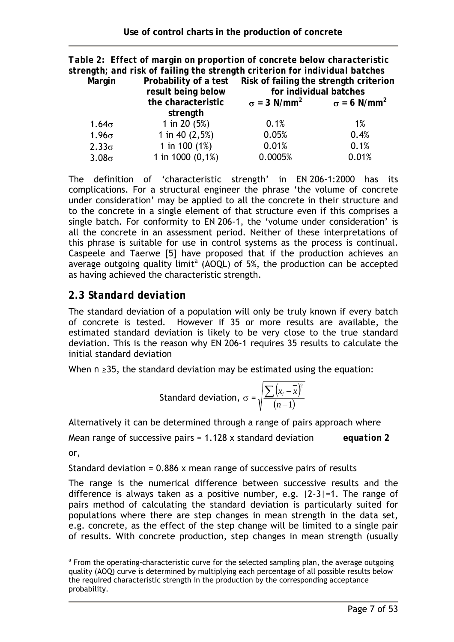|                                                                        | Table 2: Effect of margin on proportion of concrete below characteristic    |                                                               |                        |  |  |
|------------------------------------------------------------------------|-----------------------------------------------------------------------------|---------------------------------------------------------------|------------------------|--|--|
|                                                                        | strength; and risk of failing the strength criterion for individual batches |                                                               |                        |  |  |
| Probability of a test Risk of failing the strength criterion<br>Margin |                                                                             |                                                               |                        |  |  |
|                                                                        | result being below                                                          |                                                               | for individual batches |  |  |
|                                                                        | the characteristic                                                          | $\sigma = 3$ N/mm <sup>2</sup> $\sigma = 6$ N/mm <sup>2</sup> |                        |  |  |
|                                                                        | strength                                                                    |                                                               |                        |  |  |
| $1.64\sigma$                                                           | 1 in 20 $(5%)$                                                              | 0.1%                                                          | 1%                     |  |  |
| $1.96\sigma$                                                           | 1 in 40 $(2,5%)$                                                            | 0.05%                                                         | 0.4%                   |  |  |
| $2.33\sigma$                                                           | 1 in 100 $(1%)$                                                             | 0.01%                                                         | 0.1%                   |  |  |
| $3.08\sigma$                                                           | 1 in 1000 $(0,1\%)$                                                         | 0.0005%                                                       | 0.01%                  |  |  |

The definition of 'characteristic strength' in EN 206-1:2000 has its complications. For a structural engineer the phrase 'the volume of concrete under consideration' may be applied to all the concrete in their structure and to the concrete in a single element of that structure even if this comprises a single batch. For conformity to EN 206-1, the 'volume under consideration' is all the concrete in an assessment period. Neither of these interpretations of this phrase is suitable for use in control systems as the process is continual. Caspeele and Taerwe [5] have proposed that if the production achieves an average outgoing quality limit<sup>a</sup> (AOQL) of 5%, the production can be accepted as having achieved the characteristic strength.

## *2.3 Standard deviation*

The standard deviation of a population will only be truly known if every batch of concrete is tested. However if 35 or more results are available, the estimated standard deviation is likely to be very close to the true standard deviation. This is the reason why EN 206-1 requires 35 results to calculate the initial standard deviation

When *n* ≥35, the standard deviation may be estimated using the equation:

Standard deviation, 
$$
\sigma = \sqrt{\frac{\sum (x_i - \overline{x})^2}{(n-1)}}
$$

Alternatively it can be determined through a range of pairs approach where

Mean range of successive pairs = 1.128 x standard deviation *equation 2*  or,

Standard deviation =  $0.886$  x mean range of successive pairs of results

The range is the numerical difference between successive results and the difference is always taken as a positive number, e.g. |2-3|=1. The range of pairs method of calculating the standard deviation is particularly suited for populations where there are step changes in mean strength in the data set, e.g. concrete, as the effect of the step change will be limited to a single pair of results. With concrete production, step changes in mean strength (usually

 $\overline{a}$ <sup>a</sup> From the operating-characteristic curve for the selected sampling plan, the average outgoing quality (AOQ) curve is determined by multiplying each percentage of all possible results below the required characteristic strength in the production by the corresponding acceptance probability.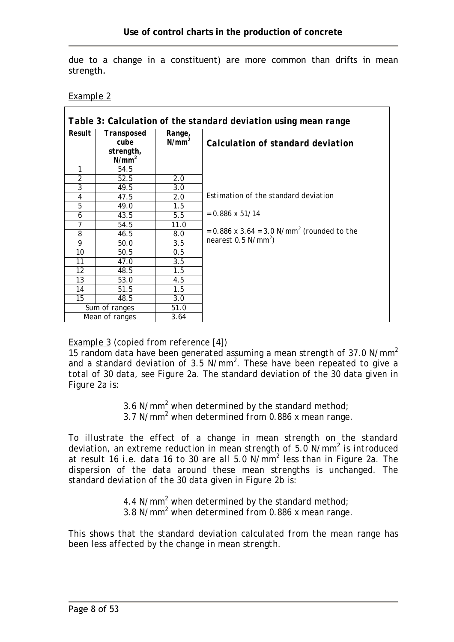due to a change in a constituent) are more common than drifts in mean strength.

*Example 2*

| Table 3: Calculation of the standard deviation using mean range |                                             |                    |                                                            |  |  |
|-----------------------------------------------------------------|---------------------------------------------|--------------------|------------------------------------------------------------|--|--|
| Result                                                          | Transposed<br>cube<br>strength,<br>$N/mm^2$ | Range,<br>$N/mm^2$ | Calculation of standard deviation                          |  |  |
| 1                                                               | 54.5                                        |                    |                                                            |  |  |
| $\overline{2}$                                                  | 52.5                                        | 2.0                |                                                            |  |  |
| $\overline{\mathcal{S}}$                                        | 49.5                                        | 3.0                |                                                            |  |  |
| $\overline{4}$                                                  | 47.5                                        | 2.0                | Estimation of the standard deviation                       |  |  |
| 5                                                               | 49.0                                        | 1.5                |                                                            |  |  |
| 6                                                               | 43.5                                        | 5.5                | $= 0.886 \times 51/14$                                     |  |  |
| 7                                                               | 54.5                                        | 11.0               |                                                            |  |  |
| 8                                                               | 46.5                                        | 8.0                | $= 0.886$ x 3.64 $= 3.0$ N/mm <sup>2</sup> (rounded to the |  |  |
| 9                                                               | 50.0                                        | 3.5                | nearest $0.5 N/mm^2$ )                                     |  |  |
| 10                                                              | 50.5                                        | 0.5                |                                                            |  |  |
| 11                                                              | 47.0                                        | 3.5                |                                                            |  |  |
| 12                                                              | 48.5                                        | 1.5                |                                                            |  |  |
| 13                                                              | 53.0                                        | 4.5                |                                                            |  |  |
| 14                                                              | 51.5                                        | 1.5                |                                                            |  |  |
| 15                                                              | 48.5                                        | 3.0                |                                                            |  |  |
| Sum of ranges                                                   |                                             | 51.0               |                                                            |  |  |
|                                                                 | Mean of ranges                              | 3.64               |                                                            |  |  |

#### *Example 3 (copied from reference [4])*

*15 random data have been generated assuming a mean strength of 37.0 N/mm2 and a standard deviation of 3.5 N/mm<sup>2</sup> . These have been repeated to give a total of 30 data, see Figure 2a. The standard deviation of the 30 data given in Figure 2a is:* 

 *3.6 N/mm<sup>2</sup> when determined by the standard method; 3.7 N/mm<sup>2</sup> when determined from 0.886 x mean range.* 

*To illustrate the effect of a change in mean strength on the standard deviation, an extreme reduction in mean strength of 5.0 N/mm<sup>2</sup> is introduced at result 16 i.e. data 16 to 30 are all 5.0 N/mm<sup>2</sup> less than in Figure 2a. The dispersion of the data around these mean strengths is unchanged. The standard deviation of the 30 data given in Figure 2b is:* 

 *4.4 N/mm<sup>2</sup> when determined by the standard method; 3.8 N/mm<sup>2</sup> when determined from 0.886 x mean range.* 

*This shows that the standard deviation calculated from the mean range has been less affected by the change in mean strength.*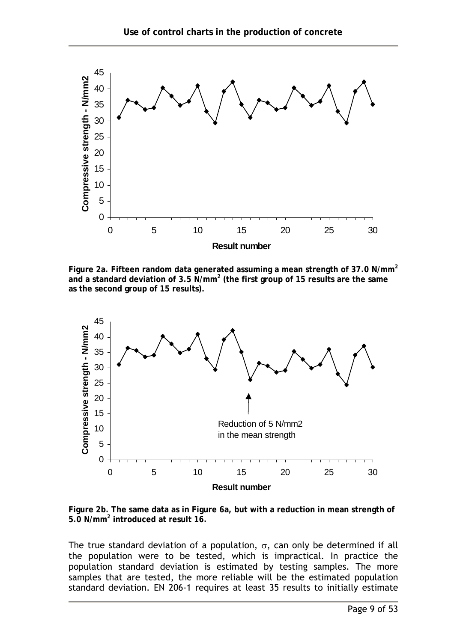

**Figure 2a. Fifteen random data generated assuming a mean strength of 37.0 N/mm<sup>2</sup> and a standard deviation of 3.5 N/mm<sup>2</sup> (the first group of 15 results are the same as the second group of 15 results).** 



**Figure 2b. The same data as in Figure 6a, but with a reduction in mean strength of 5.0 N/mm<sup>2</sup> introduced at result 16.** 

The true standard deviation of a population,  $\sigma$ , can only be determined if all the population were to be tested, which is impractical. In practice the population standard deviation is estimated by testing samples. The more samples that are tested, the more reliable will be the estimated population standard deviation. EN 206-1 requires at least 35 results to initially estimate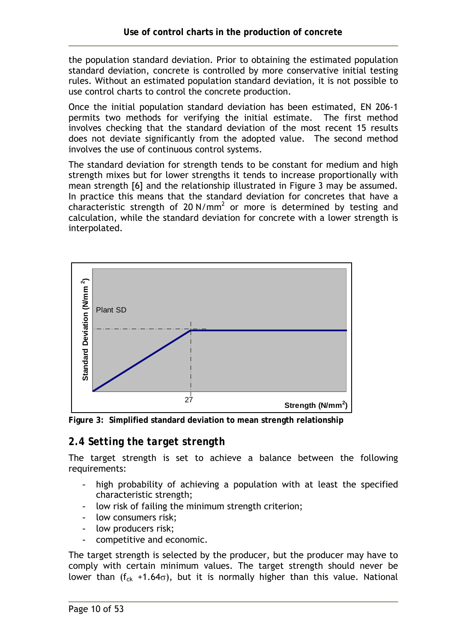the population standard deviation. Prior to obtaining the estimated population standard deviation, concrete is controlled by more conservative initial testing rules. Without an estimated population standard deviation, it is not possible to use control charts to control the concrete production.

Once the initial population standard deviation has been estimated, EN 206-1 permits two methods for verifying the initial estimate. The first method involves checking that the standard deviation of the most recent 15 results does not deviate significantly from the adopted value. The second method involves the use of continuous control systems.

The standard deviation for strength tends to be constant for medium and high strength mixes but for lower strengths it tends to increase proportionally with mean strength [6] and the relationship illustrated in Figure 3 may be assumed. In practice this means that the standard deviation for concretes that have a characteristic strength of 20 N/mm<sup>2</sup> or more is determined by testing and calculation, while the standard deviation for concrete with a lower strength is interpolated.



**Figure 3: Simplified standard deviation to mean strength relationship**

## *2.4 Setting the target strength*

The target strength is set to achieve a balance between the following requirements:

- high probability of achieving a population with at least the specified characteristic strength;
- low risk of failing the minimum strength criterion;
- low consumers risk;
- low producers risk;
- competitive and economic.

The target strength is selected by the producer, but the producer may have to comply with certain minimum values. The target strength should never be lower than ( $f_{ck}$  +1.64 $\sigma$ ), but it is normally higher than this value. National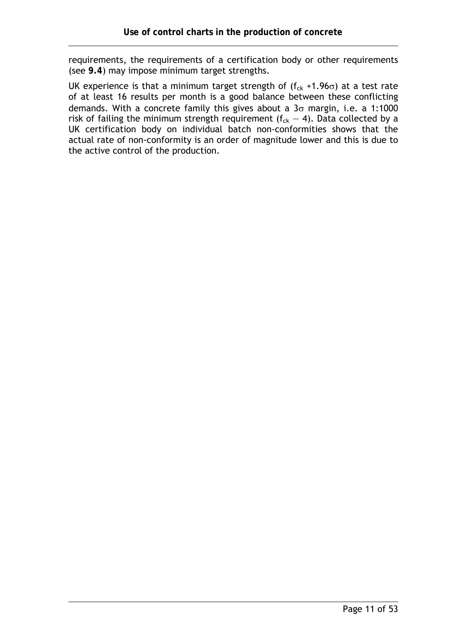requirements, the requirements of a certification body or other requirements (see **9.4**) may impose minimum target strengths.

UK experience is that a minimum target strength of  $(f_{ck} + 1.96\sigma)$  at a test rate of at least 16 results per month is a good balance between these conflicting demands. With a concrete family this gives about a  $3\sigma$  margin, i.e. a 1:1000 risk of failing the minimum strength requirement  $(f_{ck} - 4)$ . Data collected by a UK certification body on individual batch non-conformities shows that the actual rate of non-conformity is an order of magnitude lower and this is due to the active control of the production.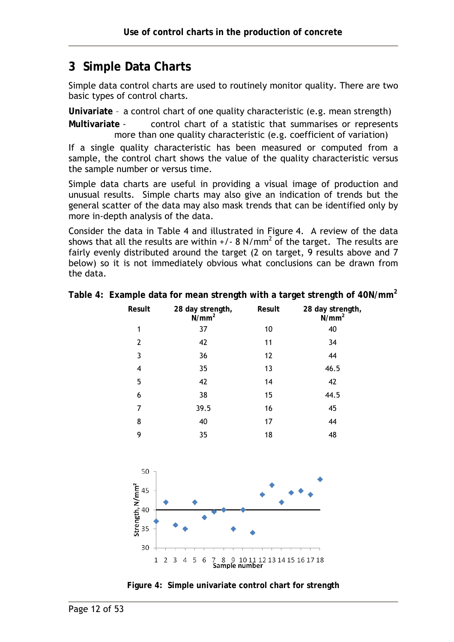# **3 Simple Data Charts**

Simple data control charts are used to routinely monitor quality. There are two basic types of control charts.

**Univariate** – a control chart of one quality characteristic (e.g. mean strength)

**Multivariate** - control chart of a statistic that summarises or represents more than one quality characteristic (e.g. coefficient of variation)

If a single quality characteristic has been measured or computed from a sample, the control chart shows the value of the quality characteristic versus the sample number or versus time.

Simple data charts are useful in providing a visual image of production and unusual results. Simple charts may also give an indication of trends but the general scatter of the data may also mask trends that can be identified only by more in-depth analysis of the data.

Consider the data in Table 4 and illustrated in Figure 4. A review of the data shows that all the results are within +/- 8 N/mm<sup>2</sup> of the target. The results are fairly evenly distributed around the target (2 on target, 9 results above and 7 below) so it is not immediately obvious what conclusions can be drawn from the data.

| Result         | 28 day strength,<br>N/mm <sup>2</sup> | Result | 28 day strength,<br>N/mm <sup>2</sup> |  |
|----------------|---------------------------------------|--------|---------------------------------------|--|
| 1              | 37                                    | 10     | 40                                    |  |
| $\overline{2}$ | 42                                    | 11     | 34                                    |  |
| 3              | 36                                    | 12     | 44                                    |  |
| 4              | 35                                    | 13     | 46.5                                  |  |
| 5              | 42                                    | 14     | 42                                    |  |
| 6              | 38                                    | 15     | 44.5                                  |  |
| 7              | 39.5                                  | 16     | 45                                    |  |
| 8              | 40                                    | 17     | 44                                    |  |
| 9              | 35                                    | 18     | 48                                    |  |

| Table 4: Example data for mean strength with a target strength of 40N/mm <sup>2</sup> |  |  |  |
|---------------------------------------------------------------------------------------|--|--|--|
|                                                                                       |  |  |  |
|                                                                                       |  |  |  |



**Figure 4: Simple univariate control chart for strength**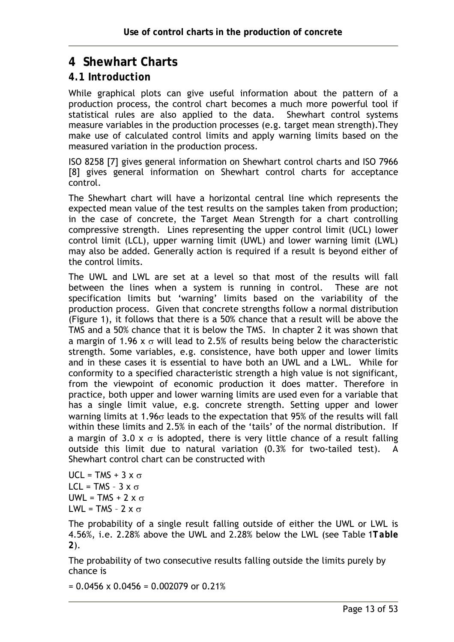# **4 Shewhart Charts**

#### *4.1 Introduction*

While graphical plots can give useful information about the pattern of a production process, the control chart becomes a much more powerful tool if statistical rules are also applied to the data. Shewhart control systems measure variables in the production processes (e.g. target mean strength).They make use of calculated control limits and apply warning limits based on the measured variation in the production process.

ISO 8258 [7] gives general information on Shewhart control charts and ISO 7966 [8] gives general information on Shewhart control charts for acceptance control.

The Shewhart chart will have a horizontal central line which represents the expected mean value of the test results on the samples taken from production; in the case of concrete, the Target Mean Strength for a chart controlling compressive strength. Lines representing the upper control limit (UCL) lower control limit (LCL), upper warning limit (UWL) and lower warning limit (LWL) may also be added. Generally action is required if a result is beyond either of the control limits.

The UWL and LWL are set at a level so that most of the results will fall between the lines when a system is running in control. These are not specification limits but 'warning' limits based on the variability of the production process. Given that concrete strengths follow a normal distribution (Figure 1), it follows that there is a 50% chance that a result will be above the TMS and a 50% chance that it is below the TMS. In chapter 2 it was shown that a margin of 1.96 x  $\sigma$  will lead to 2.5% of results being below the characteristic strength. Some variables, e.g. consistence, have both upper and lower limits and in these cases it is essential to have both an UWL and a LWL. While for conformity to a specified characteristic strength a high value is not significant, from the viewpoint of economic production it does matter. Therefore in practice, both upper and lower warning limits are used even for a variable that has a single limit value, e.g. concrete strength. Setting upper and lower warning limits at 1.96σ leads to the expectation that 95% of the results will fall within these limits and 2.5% in each of the 'tails' of the normal distribution. If a margin of 3.0 x  $\sigma$  is adopted, there is very little chance of a result falling outside this limit due to natural variation (0.3% for two-tailed test). A Shewhart control chart can be constructed with

UCL = TMS + 3  $\times \sigma$  $|C|$  = TMS - 3 x  $\sigma$ UWL = TMS + 2  $\times \sigma$ LWL = TMS -  $2 \times \sigma$ 

The probability of a single result falling outside of either the UWL or LWL is 4.56%, i.e. 2.28% above the UWL and 2.28% below the LWL (see Table 1*Table 2*).

The probability of two consecutive results falling outside the limits purely by chance is

 $= 0.0456 \times 0.0456 = 0.002079$  or 0.21%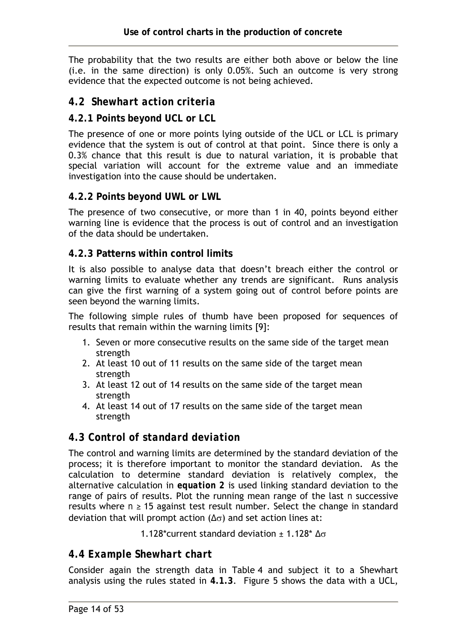The probability that the two results are either both above or below the line (i.e. in the same direction) is only 0.05%. Such an outcome is very strong evidence that the expected outcome is not being achieved.

#### *4.2 Shewhart action criteria*

#### **4.2.1 Points beyond UCL or LCL**

The presence of one or more points lying outside of the UCL or LCL is primary evidence that the system is out of control at that point. Since there is only a 0.3% chance that this result is due to natural variation, it is probable that special variation will account for the extreme value and an immediate investigation into the cause should be undertaken.

#### **4.2.2 Points beyond UWL or LWL**

The presence of two consecutive, or more than 1 in 40, points beyond either warning line is evidence that the process is out of control and an investigation of the data should be undertaken.

#### **4.2.3 Patterns within control limits**

It is also possible to analyse data that doesn't breach either the control or warning limits to evaluate whether any trends are significant. Runs analysis can give the first warning of a system going out of control before points are seen beyond the warning limits.

The following simple rules of thumb have been proposed for sequences of results that remain within the warning limits [9]:

- 1. Seven or more consecutive results on the same side of the target mean strength
- 2. At least 10 out of 11 results on the same side of the target mean strength
- 3. At least 12 out of 14 results on the same side of the target mean strength
- 4. At least 14 out of 17 results on the same side of the target mean strength

#### *4.3 Control of standard deviation*

The control and warning limits are determined by the standard deviation of the process; it is therefore important to monitor the standard deviation. As the calculation to determine standard deviation is relatively complex, the alternative calculation in *equation 2* is used linking standard deviation to the range of pairs of results. Plot the running mean range of the last *n* successive results where  $n \geq 15$  against test result number. Select the change in standard deviation that will prompt action ( $\Delta\sigma$ ) and set action lines at:

1.128\*current standard deviation  $± 1.128* \Delta\sigma$ 

#### *4.4 Example Shewhart chart*

Consider again the strength data in Table 4 and subject it to a Shewhart analysis using the rules stated in **4.1.3**. Figure 5 shows the data with a UCL,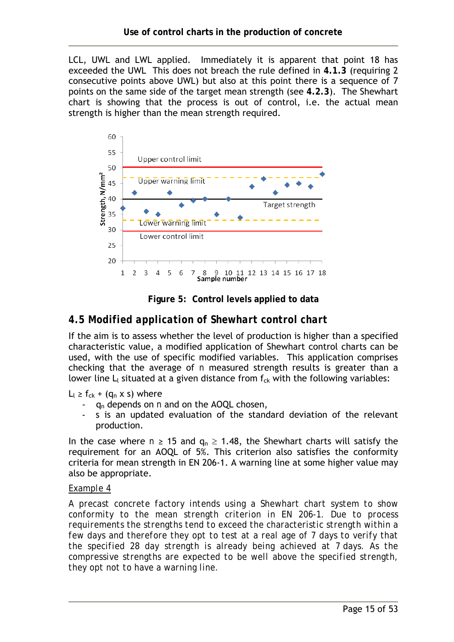LCL, UWL and LWL applied. Immediately it is apparent that point 18 has exceeded the UWL This does not breach the rule defined in **4.1.3** (requiring 2 consecutive points above UWL) but also at this point there is a sequence of 7 points on the same side of the target mean strength (see **4.2.3**). The Shewhart chart is showing that the process is out of control, i.e. the actual mean strength is higher than the mean strength required.



**Figure 5: Control levels applied to data** 

## *4.5 Modified application of Shewhart control chart*

If the aim is to assess whether the level of production is higher than a specified characteristic value, a modified application of Shewhart control charts can be used, with the use of specific modified variables. This application comprises checking that the average of *n* measured strength results is greater than a lower line  $L_1$  situated at a given distance from  $f_{ck}$  with the following variables:

 $L_1 \geq f_{ck} + (q_n \times s)$  where

- qn depends on *n* and on the AOQL chosen,
- s is an updated evaluation of the standard deviation of the relevant production.

In the case where  $n \ge 15$  and  $q_n \ge 1.48$ , the Shewhart charts will satisfy the requirement for an AOQL of 5%. This criterion also satisfies the conformity criteria for mean strength in EN 206-1. A warning line at some higher value may also be appropriate.

#### *Example 4*

*A precast concrete factory intends using a Shewhart chart system to show conformity to the mean strength criterion in EN 206-1. Due to process requirements the strengths tend to exceed the characteristic strength within a few days and therefore they opt to test at a real age of 7 days to verify that the specified 28 day strength is already being achieved at 7 days. As the compressive strengths are expected to be well above the specified strength, they opt not to have a warning line.*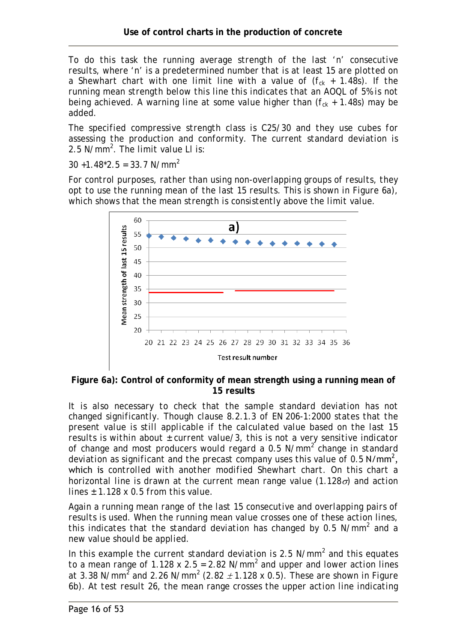*To do this task the running average strength of the last 'n' consecutive results, where 'n' is a predetermined number that is at least 15 are plotted on a Shewhart chart with one limit line with a value of*  $(f_{ck} + 1.48s)$ *. If the running mean strength below this line this indicates that an AOQL of 5% is not being achieved. A warning line at some value higher than*  $(f_{ck} + 1.48s)$  *may be added.* 

*The specified compressive strength class is C25/30 and they use cubes for assessing the production and conformity. The current standard deviation is 2.5 N/mm<sup>2</sup> . The limit value Ll is:* 

*30 +1.48\*2.5 = 33.7 N/mm<sup>2</sup>*

*For control purposes, rather than using non-overlapping groups of results, they opt to use the running mean of the last 15 results. This is shown in Figure 6a), which shows that the mean strength is consistently above the limit value.* 



**Figure 6a): Control of conformity of mean strength using a running mean of 15 results** 

*It is also necessary to check that the sample standard deviation has not changed significantly. Though clause 8.2.1.3 of EN 206-1:2000 states that the present value is still applicable if the calculated value based on the last 15 results is within about ± current value/3, this is not a very sensitive indicator of change and most producers would regard a 0.5 N/mm<sup>2</sup> change in standard*  deviation as significant and the precast company uses this value of 0.5 N/mm<sup>2</sup>, which is *controlled with another modified Shewhart chart. On this chart a horizontal line is drawn at the current mean range value (1.128*σ*) and action lines ± 1.128 x 0.5 from this value.* 

*Again a running mean range of the last 15 consecutive and overlapping pairs of results is used. When the running mean value crosses one of these action lines, this indicates that the standard deviation has changed by 0.5 N/mm<sup>2</sup> and a new value should be applied.* 

*In this example the current standard deviation is 2.5 N/mm<sup>2</sup> and this equates to a mean range of 1.128 x 2.5 = 2.82 N/mm<sup>2</sup> and upper and lower action lines at 3.38 N/mm<sup>2</sup> and 2.26 N/mm<sup>2</sup> (2.82*  $\pm$  *1.128 x 0.5). These are shown in Figure 6b). At test result 26, the mean range crosses the upper action line indicating*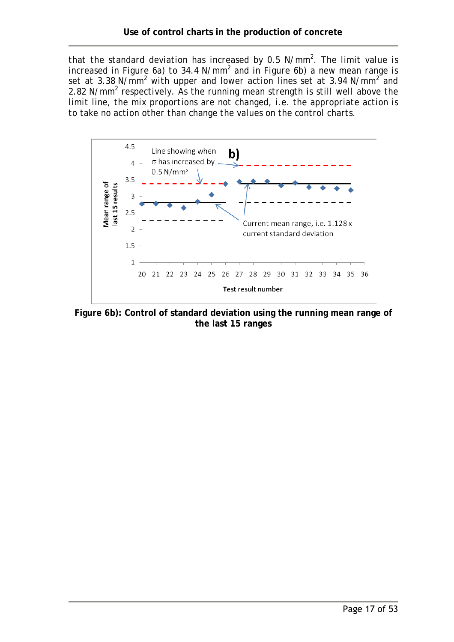*that the standard deviation has increased by 0.5 N/mm<sup>2</sup> . The limit value is*  increased in Figure 6a) to 34.4 N/mm<sup>2</sup> and in Figure 6b) a new mean range is set at 3.38 N/mm<sup>2</sup> with upper and lower action lines set at 3.94 N/mm<sup>2</sup> and 2.82 N/mm<sup>2</sup> respectively. As the running mean strength is still well above the *limit line, the mix proportions are not changed, i.e. the appropriate action is to take no action other than change the values on the control charts.* 



**Figure 6b): Control of standard deviation using the running mean range of the last 15 ranges**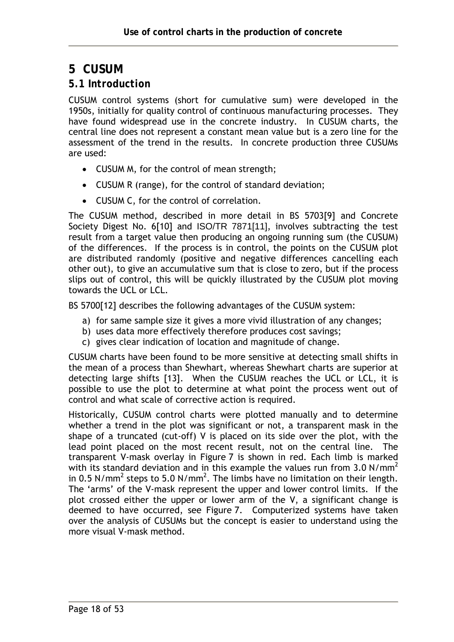# **5 CUSUM**

#### *5.1 Introduction*

CUSUM control systems (short for cumulative sum) were developed in the 1950s, initially for quality control of continuous manufacturing processes. They have found widespread use in the concrete industry. In CUSUM charts, the central line does not represent a constant mean value but is a zero line for the assessment of the trend in the results. In concrete production three CUSUMs are used:

- CUSUM M, for the control of mean strength;
- CUSUM R (range), for the control of standard deviation;
- CUSUM C, for the control of correlation.

The CUSUM method, described in more detail in BS 5703[9] and Concrete Society Digest No. 6[10] and ISO/TR 7871[11], involves subtracting the test result from a target value then producing an ongoing running sum (the CUSUM) of the differences. If the process is in control, the points on the CUSUM plot are distributed randomly (positive and negative differences cancelling each other out), to give an accumulative sum that is close to zero, but if the process slips out of control, this will be quickly illustrated by the CUSUM plot moving towards the UCL or LCL.

BS 5700[12] describes the following advantages of the CUSUM system:

- a) for same sample size it gives a more vivid illustration of any changes;
- b) uses data more effectively therefore produces cost savings;
- c) gives clear indication of location and magnitude of change.

CUSUM charts have been found to be more sensitive at detecting small shifts in the mean of a process than Shewhart, whereas Shewhart charts are superior at detecting large shifts [13]. When the CUSUM reaches the UCL or LCL, it is possible to use the plot to determine at what point the process went out of control and what scale of corrective action is required.

Historically, CUSUM control charts were plotted manually and to determine whether a trend in the plot was significant or not, a transparent mask in the shape of a truncated (cut-off) V is placed on its side over the plot, with the lead point placed on the most recent result, not on the central line. The transparent V-mask overlay in Figure 7 is shown in red. Each limb is marked with its standard deviation and in this example the values run from 3.0 N/mm<sup>2</sup> in 0.5 N/mm<sup>2</sup> steps to 5.0 N/mm<sup>2</sup>. The limbs have no limitation on their length. The 'arms' of the V-mask represent the upper and lower control limits. If the plot crossed either the upper or lower arm of the V, a significant change is deemed to have occurred, see Figure 7. Computerized systems have taken over the analysis of CUSUMs but the concept is easier to understand using the more visual V-mask method.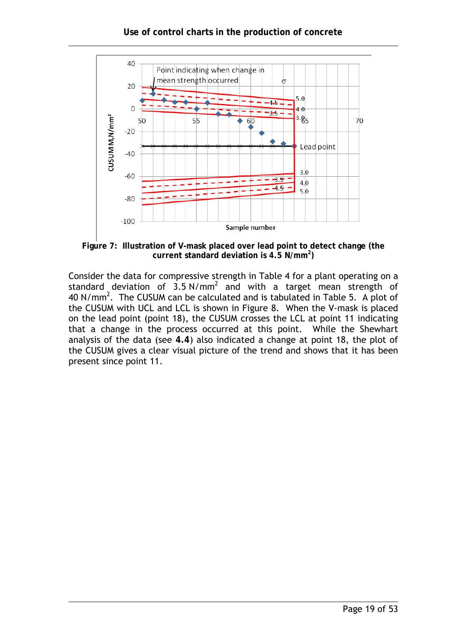

**Figure 7: Illustration of V-mask placed over lead point to detect change (the current standard deviation is 4.5 N/mm<sup>2</sup> )** 

Consider the data for compressive strength in Table 4 for a plant operating on a standard deviation of  $3.5 \text{ N/mm}^2$  and with a target mean strength of 40 N/mm<sup>2</sup>. The CUSUM can be calculated and is tabulated in Table 5. A plot of the CUSUM with UCL and LCL is shown in Figure 8. When the V-mask is placed on the lead point (point 18), the CUSUM crosses the LCL at point 11 indicating that a change in the process occurred at this point. While the Shewhart analysis of the data (see **4.4**) also indicated a change at point 18, the plot of the CUSUM gives a clear visual picture of the trend and shows that it has been present since point 11.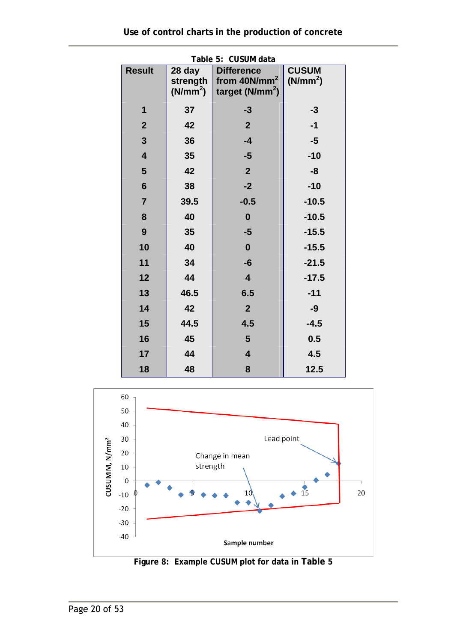| Table 5: CUSUM data     |                                            |                                                             |                                      |  |  |  |
|-------------------------|--------------------------------------------|-------------------------------------------------------------|--------------------------------------|--|--|--|
| <b>Result</b>           | 28 day<br>strength<br>(N/mm <sup>2</sup> ) | <b>Difference</b><br>from $40N/mm^2$<br>target ( $N/mm^2$ ) | <b>CUSUM</b><br>(N/mm <sup>2</sup> ) |  |  |  |
| 1                       | 37                                         | $-3$                                                        | $-3$                                 |  |  |  |
| $\boldsymbol{2}$        | 42                                         | $\overline{2}$                                              | $-1$                                 |  |  |  |
| 3                       | 36                                         | $-4$                                                        | $-5$                                 |  |  |  |
| $\overline{\mathbf{4}}$ | 35                                         | $-5$                                                        | $-10$                                |  |  |  |
| 5                       | 42                                         | $\overline{2}$                                              | -8                                   |  |  |  |
| $6\phantom{1}$          | 38                                         | $-2$                                                        | $-10$                                |  |  |  |
| $\overline{7}$          | 39.5                                       | $-0.5$                                                      | $-10.5$                              |  |  |  |
| 8                       | 40                                         | $\mathbf 0$                                                 | $-10.5$                              |  |  |  |
| 9                       | 35                                         | $-5$                                                        | $-15.5$                              |  |  |  |
| 10                      | 40                                         | $\boldsymbol{0}$                                            | $-15.5$                              |  |  |  |
| 11                      | 34                                         | -6                                                          | $-21.5$                              |  |  |  |
| 12                      | 44                                         | $\overline{\mathbf{4}}$                                     | $-17.5$                              |  |  |  |
| 13                      | 46.5                                       | 6.5                                                         | $-11$                                |  |  |  |
| 14                      | 42                                         | $\overline{2}$                                              | -9                                   |  |  |  |
| 15                      | 44.5                                       | 4.5                                                         | $-4.5$                               |  |  |  |
| 16                      | 45                                         | 5                                                           | 0.5                                  |  |  |  |
| 17                      | 44                                         | $\overline{\mathbf{4}}$                                     | 4.5                                  |  |  |  |
| 18                      | 48                                         | 8                                                           | 12.5                                 |  |  |  |



**Figure 8: Example CUSUM plot for data in Table 5**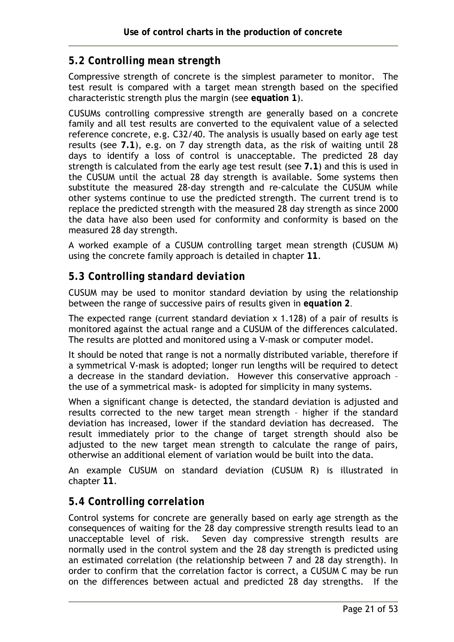## *5.2 Controlling mean strength*

Compressive strength of concrete is the simplest parameter to monitor. The test result is compared with a target mean strength based on the specified characteristic strength plus the margin (see **equation 1**).

CUSUMs controlling compressive strength are generally based on a concrete family and all test results are converted to the equivalent value of a selected reference concrete, e.g. C32/40. The analysis is usually based on early age test results (see **7.1**), e.g. on 7 day strength data, as the risk of waiting until 28 days to identify a loss of control is unacceptable. The predicted 28 day strength is calculated from the early age test result (see **7.1**) and this is used in the CUSUM until the actual 28 day strength is available. Some systems then substitute the measured 28-day strength and re-calculate the CUSUM while other systems continue to use the predicted strength. The current trend is to replace the predicted strength with the measured 28 day strength as since 2000 the data have also been used for conformity and conformity is based on the measured 28 day strength.

A worked example of a CUSUM controlling target mean strength (CUSUM M) using the concrete family approach is detailed in chapter **11**.

#### *5.3 Controlling standard deviation*

CUSUM may be used to monitor standard deviation by using the relationship between the range of successive pairs of results given in *equation 2*.

The expected range (current standard deviation x 1.128) of a pair of results is monitored against the actual range and a CUSUM of the differences calculated. The results are plotted and monitored using a V-mask or computer model.

It should be noted that range is not a normally distributed variable, therefore if a symmetrical V-mask is adopted; longer run lengths will be required to detect a decrease in the standard deviation. However this conservative approach – the use of a symmetrical mask- is adopted for simplicity in many systems.

When a significant change is detected, the standard deviation is adjusted and results corrected to the new target mean strength – higher if the standard deviation has increased, lower if the standard deviation has decreased. The result immediately prior to the change of target strength should also be adjusted to the new target mean strength to calculate the range of pairs, otherwise an additional element of variation would be built into the data.

An example CUSUM on standard deviation (CUSUM R) is illustrated in chapter **11**.

## *5.4 Controlling correlation*

Control systems for concrete are generally based on early age strength as the consequences of waiting for the 28 day compressive strength results lead to an unacceptable level of risk. Seven day compressive strength results are normally used in the control system and the 28 day strength is predicted using an estimated correlation (the relationship between 7 and 28 day strength). In order to confirm that the correlation factor is correct, a CUSUM C may be run on the differences between actual and predicted 28 day strengths. If the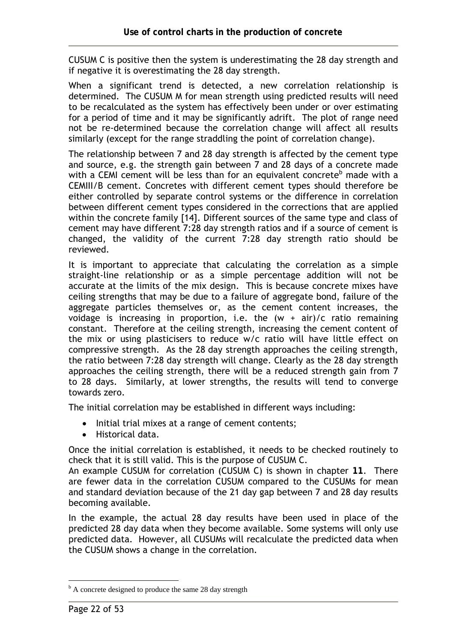CUSUM C is positive then the system is underestimating the 28 day strength and if negative it is overestimating the 28 day strength.

When a significant trend is detected, a new correlation relationship is determined. The CUSUM M for mean strength using predicted results will need to be recalculated as the system has effectively been under or over estimating for a period of time and it may be significantly adrift. The plot of range need not be re-determined because the correlation change will affect all results similarly (except for the range straddling the point of correlation change).

The relationship between 7 and 28 day strength is affected by the cement type and source, e.g. the strength gain between 7 and 28 days of a concrete made with a CEMI cement will be less than for an equivalent concrete<sup>b</sup> made with a CEMIII/B cement. Concretes with different cement types should therefore be either controlled by separate control systems or the difference in correlation between different cement types considered in the corrections that are applied within the concrete family [14]. Different sources of the same type and class of cement may have different 7:28 day strength ratios and if a source of cement is changed, the validity of the current 7:28 day strength ratio should be reviewed.

It is important to appreciate that calculating the correlation as a simple straight-line relationship or as a simple percentage addition will not be accurate at the limits of the mix design. This is because concrete mixes have ceiling strengths that may be due to a failure of aggregate bond, failure of the aggregate particles themselves or, as the cement content increases, the voidage is increasing in proportion, i.e. the  $(w + air)/c$  ratio remaining constant. Therefore at the ceiling strength, increasing the cement content of the mix or using plasticisers to reduce w/c ratio will have little effect on compressive strength. As the 28 day strength approaches the ceiling strength, the ratio between 7:28 day strength will change. Clearly as the 28 day strength approaches the ceiling strength, there will be a reduced strength gain from 7 to 28 days. Similarly, at lower strengths, the results will tend to converge towards zero.

The initial correlation may be established in different ways including:

- Initial trial mixes at a range of cement contents;
- Historical data.

Once the initial correlation is established, it needs to be checked routinely to check that it is still valid. This is the purpose of CUSUM C.

An example CUSUM for correlation (CUSUM C) is shown in chapter **11**. There are fewer data in the correlation CUSUM compared to the CUSUMs for mean and standard deviation because of the 21 day gap between 7 and 28 day results becoming available.

In the example, the actual 28 day results have been used in place of the predicted 28 day data when they become available. Some systems will only use predicted data. However, all CUSUMs will recalculate the predicted data when the CUSUM shows a change in the correlation.

 $\overline{a}$ 

<sup>&</sup>lt;sup>b</sup> A concrete designed to produce the same 28 day strength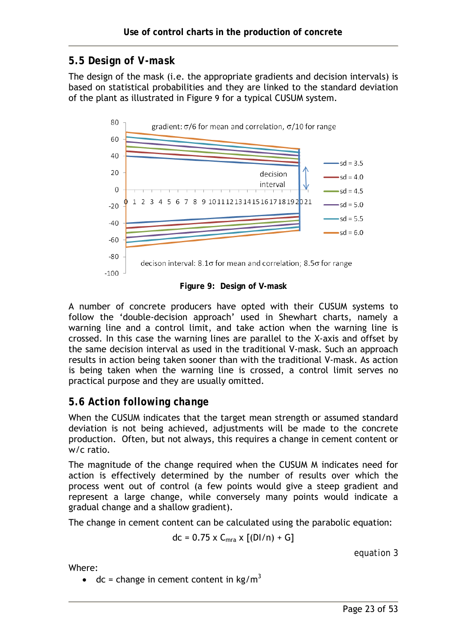## *5.5 Design of V-mask*

The design of the mask (i.e. the appropriate gradients and decision intervals) is based on statistical probabilities and they are linked to the standard deviation of the plant as illustrated in Figure 9 for a typical CUSUM system.



**Figure 9: Design of V-mask** 

A number of concrete producers have opted with their CUSUM systems to follow the 'double-decision approach' used in Shewhart charts, namely a warning line and a control limit, and take action when the warning line is crossed. In this case the warning lines are parallel to the X-axis and offset by the same decision interval as used in the traditional V-mask. Such an approach results in action being taken sooner than with the traditional V-mask. As action is being taken when the warning line is crossed, a control limit serves no practical purpose and they are usually omitted.

## *5.6 Action following change*

When the CUSUM indicates that the target mean strength or assumed standard deviation is not being achieved, adjustments will be made to the concrete production. Often, but not always, this requires a change in cement content or w/c ratio.

The magnitude of the change required when the CUSUM M indicates need for action is effectively determined by the number of results over which the process went out of control (a few points would give a steep gradient and represent a large change, while conversely many points would indicate a gradual change and a shallow gradient).

The change in cement content can be calculated using the parabolic equation:

$$
dc = 0.75 \times C_{mra} \times [(D1/n) + G]
$$

*equation 3* 

Where:

• dc = change in cement content in  $kg/m<sup>3</sup>$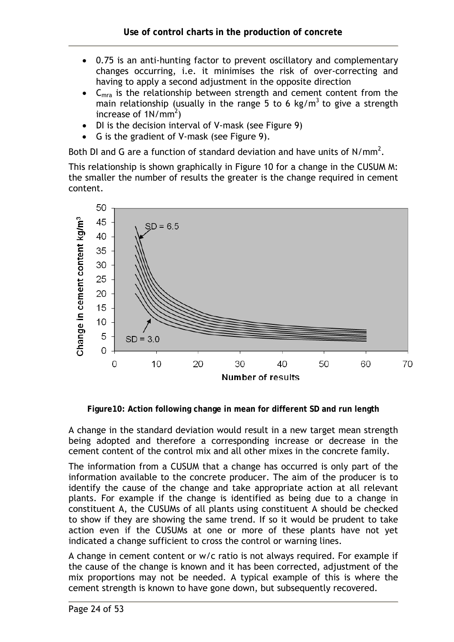- 0.75 is an anti-hunting factor to prevent oscillatory and complementary changes occurring, i.e. it minimises the risk of over-correcting and having to apply a second adjustment in the opposite direction
- $C<sub>mra</sub>$  is the relationship between strength and cement content from the main relationship (usually in the range 5 to 6 kg/m<sup>3</sup> to give a strength increase of  $1N/mm^2$ )
- DI is the decision interval of V-mask (see Figure 9)
- G is the gradient of V-mask (see Figure 9).

Both DI and G are a function of standard deviation and have units of  $N/mm^2$ .

This relationship is shown graphically in Figure 10 for a change in the CUSUM M: the smaller the number of results the greater is the change required in cement content.



**Figure10: Action following change in mean for different SD and run length** 

A change in the standard deviation would result in a new target mean strength being adopted and therefore a corresponding increase or decrease in the cement content of the control mix and all other mixes in the concrete family.

The information from a CUSUM that a change has occurred is only part of the information available to the concrete producer. The aim of the producer is to identify the cause of the change and take appropriate action at all relevant plants. For example if the change is identified as being due to a change in constituent A, the CUSUMs of all plants using constituent A should be checked to show if they are showing the same trend. If so it would be prudent to take action even if the CUSUMs at one or more of these plants have not yet indicated a change sufficient to cross the control or warning lines.

A change in cement content or w/c ratio is not always required. For example if the cause of the change is known and it has been corrected, adjustment of the mix proportions may not be needed. A typical example of this is where the cement strength is known to have gone down, but subsequently recovered.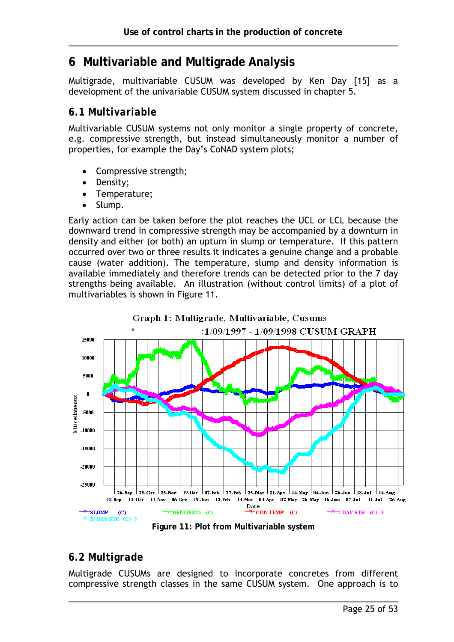# **6 Multivariable and Multigrade Analysis**

Multigrade, multivariable CUSUM was developed by Ken Day [15] as a development of the univariable CUSUM system discussed in chapter 5.

#### *6.1 Multivariable*

Multivariable CUSUM systems not only monitor a single property of concrete, e.g. compressive strength, but instead simultaneously monitor a number of properties, for example the Day's CoNAD system plots;

- Compressive strength;
- Density;
- Temperature;
- Slump.

Early action can be taken before the plot reaches the UCL or LCL because the downward trend in compressive strength may be accompanied by a downturn in density and either (or both) an upturn in slump or temperature. If this pattern occurred over two or three results it indicates a genuine change and a probable cause (water addition). The temperature, slump and density information is available immediately and therefore trends can be detected prior to the 7 day strengths being available. An illustration (without control limits) of a plot of multivariables is shown in Figure 11.



Graph 1: Multigrade, Multivariable, Cusums

**Figure 11: Plot from Multivariable system** 

## *6.2 Multigrade*

Multigrade CUSUMs are designed to incorporate concretes from different compressive strength classes in the same CUSUM system. One approach is to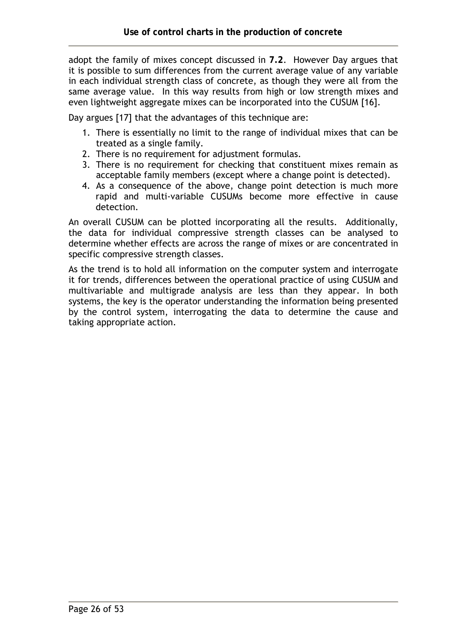adopt the family of mixes concept discussed in **7.2**. However Day argues that it is possible to sum differences from the current average value of any variable in each individual strength class of concrete, as though they were all from the same average value. In this way results from high or low strength mixes and even lightweight aggregate mixes can be incorporated into the CUSUM [16].

Day argues [17] that the advantages of this technique are:

- 1. There is essentially no limit to the range of individual mixes that can be treated as a single family.
- 2. There is no requirement for adjustment formulas.
- 3. There is no requirement for checking that constituent mixes remain as acceptable family members (except where a change point is detected).
- 4. As a consequence of the above, change point detection is much more rapid and multi-variable CUSUMs become more effective in cause detection.

An overall CUSUM can be plotted incorporating all the results. Additionally, the data for individual compressive strength classes can be analysed to determine whether effects are across the range of mixes or are concentrated in specific compressive strength classes.

As the trend is to hold all information on the computer system and interrogate it for trends, differences between the operational practice of using CUSUM and multivariable and multigrade analysis are less than they appear. In both systems, the key is the operator understanding the information being presented by the control system, interrogating the data to determine the cause and taking appropriate action.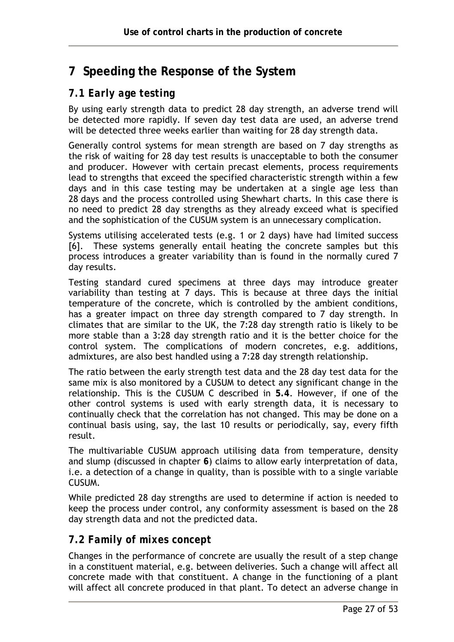# **7 Speeding the Response of the System**

## *7.1 Early age testing*

By using early strength data to predict 28 day strength, an adverse trend will be detected more rapidly. If seven day test data are used, an adverse trend will be detected three weeks earlier than waiting for 28 day strength data.

Generally control systems for mean strength are based on 7 day strengths as the risk of waiting for 28 day test results is unacceptable to both the consumer and producer. However with certain precast elements, process requirements lead to strengths that exceed the specified characteristic strength within a few days and in this case testing may be undertaken at a single age less than 28 days and the process controlled using Shewhart charts. In this case there is no need to predict 28 day strengths as they already exceed what is specified and the sophistication of the CUSUM system is an unnecessary complication.

Systems utilising accelerated tests (e.g. 1 or 2 days) have had limited success [6]. These systems generally entail heating the concrete samples but this process introduces a greater variability than is found in the normally cured 7 day results.

Testing standard cured specimens at three days may introduce greater variability than testing at 7 days. This is because at three days the initial temperature of the concrete, which is controlled by the ambient conditions, has a greater impact on three day strength compared to 7 day strength. In climates that are similar to the UK, the 7:28 day strength ratio is likely to be more stable than a 3:28 day strength ratio and it is the better choice for the control system. The complications of modern concretes, e.g. additions, admixtures, are also best handled using a 7:28 day strength relationship.

The ratio between the early strength test data and the 28 day test data for the same mix is also monitored by a CUSUM to detect any significant change in the relationship. This is the CUSUM C described in **5.4**. However, if one of the other control systems is used with early strength data, it is necessary to continually check that the correlation has not changed. This may be done on a continual basis using, say, the last 10 results or periodically, say, every fifth result.

The multivariable CUSUM approach utilising data from temperature, density and slump (discussed in chapter **6**) claims to allow early interpretation of data, i.e. a detection of a change in quality, than is possible with to a single variable CUSUM.

While predicted 28 day strengths are used to determine if action is needed to keep the process under control, any conformity assessment is based on the 28 day strength data and not the predicted data.

## *7.2 Family of mixes concept*

Changes in the performance of concrete are usually the result of a step change in a constituent material, e.g. between deliveries. Such a change will affect all concrete made with that constituent. A change in the functioning of a plant will affect all concrete produced in that plant. To detect an adverse change in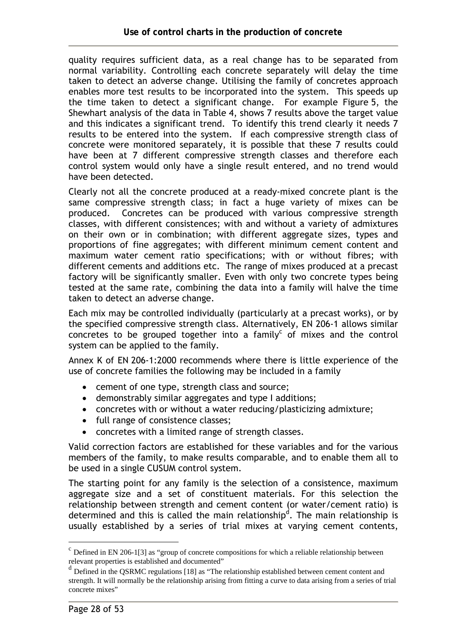quality requires sufficient data, as a real change has to be separated from normal variability. Controlling each concrete separately will delay the time taken to detect an adverse change. Utilising the family of concretes approach enables more test results to be incorporated into the system. This speeds up the time taken to detect a significant change. For example Figure 5, the Shewhart analysis of the data in Table 4, shows 7 results above the target value and this indicates a significant trend. To identify this trend clearly it needs 7 results to be entered into the system. If each compressive strength class of concrete were monitored separately, it is possible that these 7 results could have been at 7 different compressive strength classes and therefore each control system would only have a single result entered, and no trend would have been detected.

Clearly not all the concrete produced at a ready-mixed concrete plant is the same compressive strength class; in fact a huge variety of mixes can be produced. Concretes can be produced with various compressive strength classes, with different consistences; with and without a variety of admixtures on their own or in combination; with different aggregate sizes, types and proportions of fine aggregates; with different minimum cement content and maximum water cement ratio specifications; with or without fibres; with different cements and additions etc. The range of mixes produced at a precast factory will be significantly smaller. Even with only two concrete types being tested at the same rate, combining the data into a family will halve the time taken to detect an adverse change.

Each mix may be controlled individually (particularly at a precast works), or by the specified compressive strength class. Alternatively, EN 206-1 allows similar concretes to be grouped together into a family<sup>c</sup> of mixes and the control system can be applied to the family.

Annex K of EN 206-1:2000 recommends where there is little experience of the use of concrete families the following may be included in a family

- cement of one type, strength class and source;
- demonstrably similar aggregates and type I additions;
- concretes with or without a water reducing/plasticizing admixture;
- full range of consistence classes;
- concretes with a limited range of strength classes.

Valid correction factors are established for these variables and for the various members of the family, to make results comparable, and to enable them all to be used in a single CUSUM control system.

The starting point for any family is the selection of a consistence, maximum aggregate size and a set of constituent materials. For this selection the relationship between strength and cement content (or water/cement ratio) is determined and this is called the main relationship<sup>d</sup>. The main relationship is usually established by a series of trial mixes at varying cement contents,

 $\overline{a}$ 

 $\degree$  Defined in EN 206-1[3] as "group of concrete compositions for which a reliable relationship between relevant properties is established and documented"

<sup>&</sup>lt;sup>d</sup> Defined in the OSRMC regulations [18] as "The relationship established between cement content and strength. It will normally be the relationship arising from fitting a curve to data arising from a series of trial concrete mixes"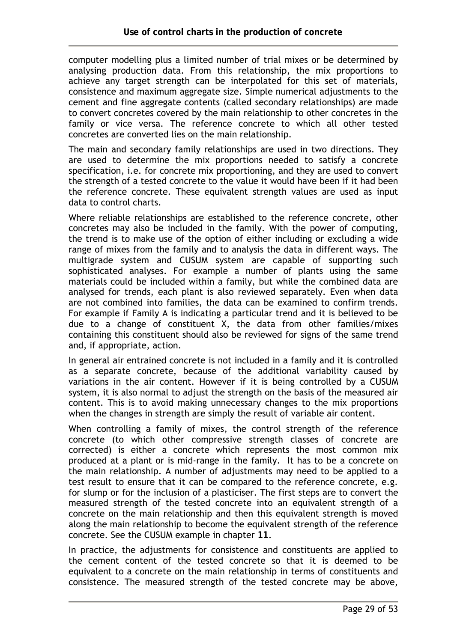computer modelling plus a limited number of trial mixes or be determined by analysing production data. From this relationship, the mix proportions to achieve any target strength can be interpolated for this set of materials, consistence and maximum aggregate size. Simple numerical adjustments to the cement and fine aggregate contents (called secondary relationships) are made to convert concretes covered by the main relationship to other concretes in the family or vice versa. The reference concrete to which all other tested concretes are converted lies on the main relationship.

The main and secondary family relationships are used in two directions. They are used to determine the mix proportions needed to satisfy a concrete specification, i.e. for concrete mix proportioning, and they are used to convert the strength of a tested concrete to the value it would have been if it had been the reference concrete. These equivalent strength values are used as input data to control charts.

Where reliable relationships are established to the reference concrete, other concretes may also be included in the family. With the power of computing, the trend is to make use of the option of either including or excluding a wide range of mixes from the family and to analysis the data in different ways. The multigrade system and CUSUM system are capable of supporting such sophisticated analyses. For example a number of plants using the same materials could be included within a family, but while the combined data are analysed for trends, each plant is also reviewed separately. Even when data are not combined into families, the data can be examined to confirm trends. For example if Family A is indicating a particular trend and it is believed to be due to a change of constituent X, the data from other families/mixes containing this constituent should also be reviewed for signs of the same trend and, if appropriate, action.

In general air entrained concrete is not included in a family and it is controlled as a separate concrete, because of the additional variability caused by variations in the air content. However if it is being controlled by a CUSUM system, it is also normal to adjust the strength on the basis of the measured air content. This is to avoid making unnecessary changes to the mix proportions when the changes in strength are simply the result of variable air content.

When controlling a family of mixes, the control strength of the reference concrete (to which other compressive strength classes of concrete are corrected) is either a concrete which represents the most common mix produced at a plant or is mid-range in the family. It has to be a concrete on the main relationship. A number of adjustments may need to be applied to a test result to ensure that it can be compared to the reference concrete, e.g. for slump or for the inclusion of a plasticiser. The first steps are to convert the measured strength of the tested concrete into an equivalent strength of a concrete on the main relationship and then this equivalent strength is moved along the main relationship to become the equivalent strength of the reference concrete. See the CUSUM example in chapter **11**.

In practice, the adjustments for consistence and constituents are applied to the cement content of the tested concrete so that it is deemed to be equivalent to a concrete on the main relationship in terms of constituents and consistence. The measured strength of the tested concrete may be above,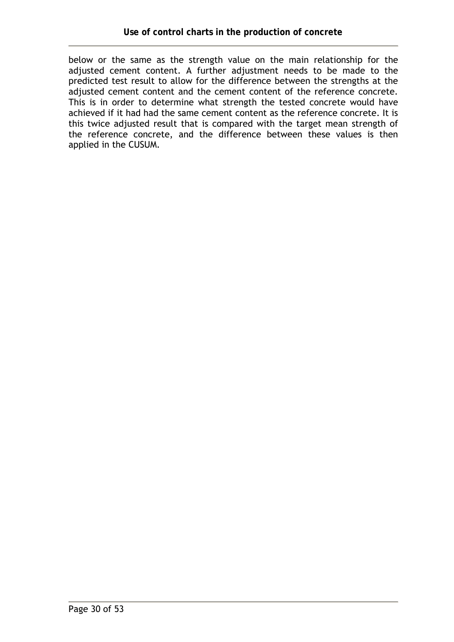below or the same as the strength value on the main relationship for the adjusted cement content. A further adjustment needs to be made to the predicted test result to allow for the difference between the strengths at the adjusted cement content and the cement content of the reference concrete. This is in order to determine what strength the tested concrete would have achieved if it had had the same cement content as the reference concrete. It is this twice adjusted result that is compared with the target mean strength of the reference concrete, and the difference between these values is then applied in the CUSUM.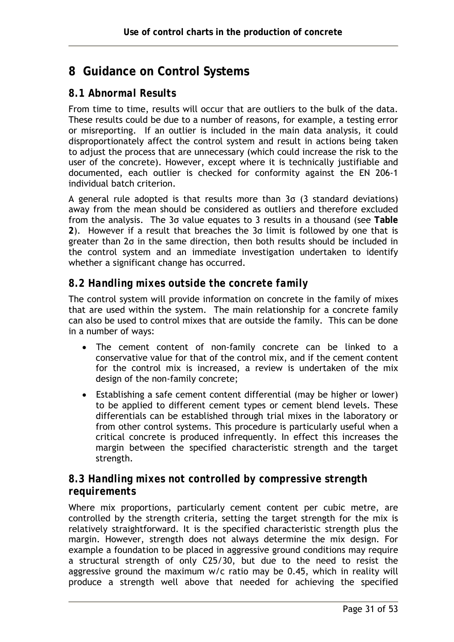# **8 Guidance on Control Systems**

#### *8.1 Abnormal Results*

From time to time, results will occur that are outliers to the bulk of the data. These results could be due to a number of reasons, for example, a testing error or misreporting. If an outlier is included in the main data analysis, it could disproportionately affect the control system and result in actions being taken to adjust the process that are unnecessary (which could increase the risk to the user of the concrete). However, except where it is technically justifiable and documented, each outlier is checked for conformity against the EN 206-1 individual batch criterion.

A general rule adopted is that results more than 3σ (3 standard deviations) away from the mean should be considered as outliers and therefore excluded from the analysis. The 3σ value equates to 3 results in a thousand (see **Table 2**). However if a result that breaches the 3σ limit is followed by one that is greater than 2σ in the same direction, then both results should be included in the control system and an immediate investigation undertaken to identify whether a significant change has occurred.

## *8.2 Handling mixes outside the concrete family*

The control system will provide information on concrete in the family of mixes that are used within the system. The main relationship for a concrete family can also be used to control mixes that are outside the family. This can be done in a number of ways:

- The cement content of non-family concrete can be linked to a conservative value for that of the control mix, and if the cement content for the control mix is increased, a review is undertaken of the mix design of the non-family concrete;
- Establishing a safe cement content differential (may be higher or lower) to be applied to different cement types or cement blend levels. These differentials can be established through trial mixes in the laboratory or from other control systems. This procedure is particularly useful when a critical concrete is produced infrequently. In effect this increases the margin between the specified characteristic strength and the target strength.

## *8.3 Handling mixes not controlled by compressive strength requirements*

Where mix proportions, particularly cement content per cubic metre, are controlled by the strength criteria, setting the target strength for the mix is relatively straightforward. It is the specified characteristic strength plus the margin. However, strength does not always determine the mix design. For example a foundation to be placed in aggressive ground conditions may require a structural strength of only C25/30, but due to the need to resist the aggressive ground the maximum w/c ratio may be 0.45, which in reality will produce a strength well above that needed for achieving the specified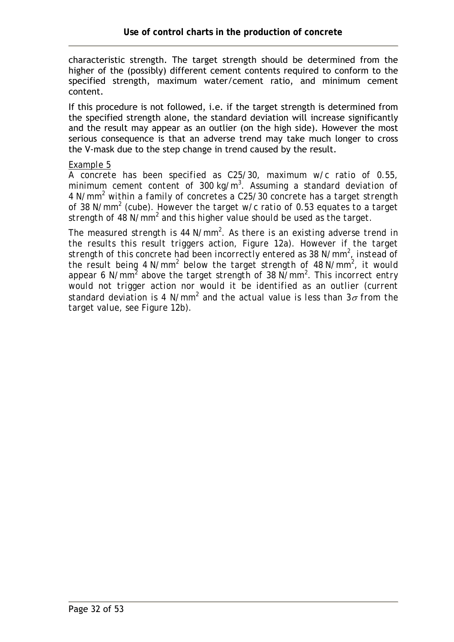characteristic strength. The target strength should be determined from the higher of the (possibly) different cement contents required to conform to the specified strength, maximum water/cement ratio, and minimum cement content.

If this procedure is not followed, i.e. if the target strength is determined from the specified strength alone, the standard deviation will increase significantly and the result may appear as an outlier (on the high side). However the most serious consequence is that an adverse trend may take much longer to cross the V-mask due to the step change in trend caused by the result.

#### *Example 5*

*A concrete has been specified as C25/30, maximum w/c ratio of 0.55, minimum cement content of 300 kg/m<sup>3</sup> . Assuming a standard deviation of 4 N/mm<sup>2</sup> within a family of concretes a C25/30 concrete has a target strength of 38 N/mm<sup>2</sup> (cube). However the target w/c ratio of 0.53 equates to a target*  strength of 48 N/mm<sup>2</sup> and this higher value should be used as the target.

*The measured strength is 44 N/mm<sup>2</sup> . As there is an existing adverse trend in the results this result triggers action, Figure 12a). However if the target strength of this concrete had been incorrectly entered as 38 N/mm<sup>2</sup> , instead of*  the result being 4 N/mm<sup>2</sup> below the target strength of 48 N/mm<sup>2</sup>, it would *appear 6 N/mm<sup>2</sup> above the target strength of 38 N/mm<sup>2</sup> . This incorrect entry*  would not trigger action nor would it be identified as an outlier (current *standard deviation is 4 N/mm2 and the actual value is less than 3*σ *from the target value, see Figure 12b).*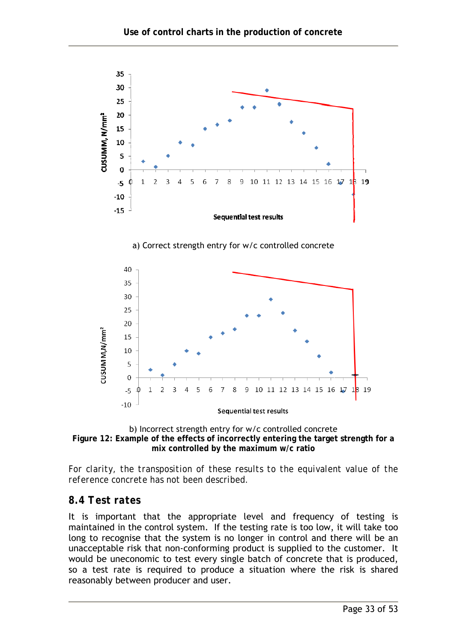



*For clarity, the transposition of these results to the equivalent value of the reference concrete has not been described.* 

#### *8.4 Test rates*

It is important that the appropriate level and frequency of testing is maintained in the control system. If the testing rate is too low, it will take too long to recognise that the system is no longer in control and there will be an unacceptable risk that non-conforming product is supplied to the customer. It would be uneconomic to test every single batch of concrete that is produced, so a test rate is required to produce a situation where the risk is shared reasonably between producer and user.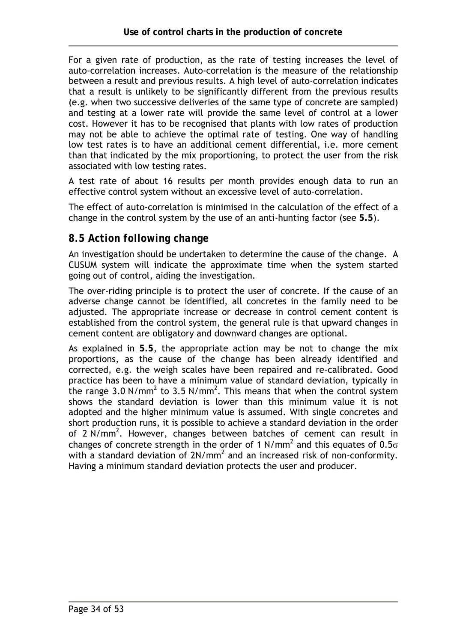For a given rate of production, as the rate of testing increases the level of auto-correlation increases. Auto-correlation is the measure of the relationship between a result and previous results. A high level of auto-correlation indicates that a result is unlikely to be significantly different from the previous results (e.g. when two successive deliveries of the same type of concrete are sampled) and testing at a lower rate will provide the same level of control at a lower cost. However it has to be recognised that plants with low rates of production may not be able to achieve the optimal rate of testing. One way of handling low test rates is to have an additional cement differential, i.e. more cement than that indicated by the mix proportioning, to protect the user from the risk associated with low testing rates.

A test rate of about 16 results per month provides enough data to run an effective control system without an excessive level of auto-correlation.

The effect of auto-correlation is minimised in the calculation of the effect of a change in the control system by the use of an anti-hunting factor (see **5.5**).

#### *8.5 Action following change*

An investigation should be undertaken to determine the cause of the change. A CUSUM system will indicate the approximate time when the system started going out of control, aiding the investigation.

The over-riding principle is to protect the user of concrete. If the cause of an adverse change cannot be identified, all concretes in the family need to be adjusted. The appropriate increase or decrease in control cement content is established from the control system, the general rule is that upward changes in cement content are obligatory and downward changes are optional.

As explained in **5.5**, the appropriate action may be not to change the mix proportions, as the cause of the change has been already identified and corrected, e.g. the weigh scales have been repaired and re-calibrated. Good practice has been to have a minimum value of standard deviation, typically in the range 3.0 N/mm<sup>2</sup> to 3.5 N/mm<sup>2</sup>. This means that when the control system shows the standard deviation is lower than this minimum value it is not adopted and the higher minimum value is assumed. With single concretes and short production runs, it is possible to achieve a standard deviation in the order of 2 N/mm<sup>2</sup>. However, changes between batches of cement can result in changes of concrete strength in the order of 1 N/mm<sup>2</sup> and this equates of 0.5 $\sigma$ with a standard deviation of  $2N/mm^2$  and an increased risk of non-conformity. Having a minimum standard deviation protects the user and producer.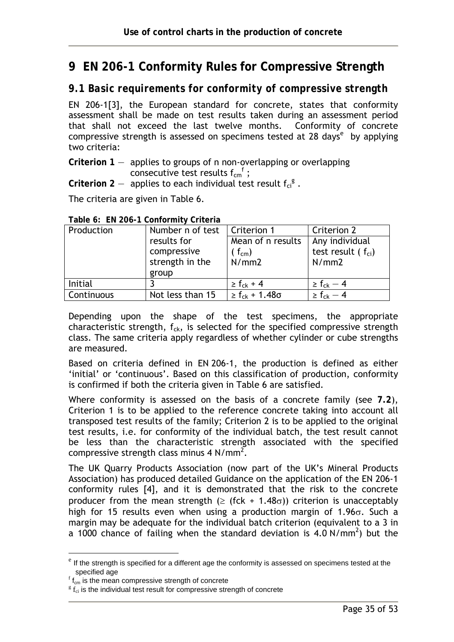# **9 EN 206-1 Conformity Rules for Compressive Strength**

#### *9.1 Basic requirements for conformity of compressive strength*

EN 206-1[3], the European standard for concrete, states that conformity assessment shall be made on test results taken during an assessment period that shall not exceed the last twelve months. Conformity of concrete compressive strength is assessed on specimens tested at 28 days<sup>e</sup> by applying two criteria:

**Criterion 1** — applies to groups of n non-overlapping or overlapping consecutive test results  $f_{cm}^f$ ;

Criterion  $2 -$  applies to each individual test result  $f_{ci}^g$ .

The criteria are given in Table 6.

| Production<br>Number n of test |                  | Criterion 1                | Criterion 2              |
|--------------------------------|------------------|----------------------------|--------------------------|
|                                | results for      | Mean of n results          | Any individual           |
| compressive                    |                  | $(f_{cm})$                 | test result ( $f_{ci}$ ) |
|                                | strength in the  | N/mm2                      | N/mm2                    |
|                                | group            |                            |                          |
| Initial                        |                  | $\geq f_{ck} + 4$          | $\geq f_{ck} - 4$        |
| Continuous                     | Not less than 15 | $\geq f_{ck} + 1.48\sigma$ | $\geq f_{ck} - 4$        |

#### **Table 6: EN 206-1 Conformity Criteria**

Depending upon the shape of the test specimens, the appropriate characteristic strength,  $f_{ck}$ , is selected for the specified compressive strength class. The same criteria apply regardless of whether cylinder or cube strengths are measured.

Based on criteria defined in EN 206-1, the production is defined as either 'initial' or 'continuous'. Based on this classification of production, conformity is confirmed if both the criteria given in Table 6 are satisfied.

Where conformity is assessed on the basis of a concrete family (see **7.2**), Criterion 1 is to be applied to the reference concrete taking into account all transposed test results of the family; Criterion 2 is to be applied to the original test results, i.e. for conformity of the individual batch, the test result cannot be less than the characteristic strength associated with the specified compressive strength class minus 4 N/mm<sup>2</sup>.

The UK Quarry Products Association (now part of the UK's Mineral Products Association) has produced detailed Guidance on the application of the EN 206-1 conformity rules [4], and it is demonstrated that the risk to the concrete producer from the mean strength ( $\geq$  (fck + 1.48 $\sigma$ )) criterion is unacceptably high for 15 results even when using a production margin of 1.96 $\sigma$ . Such a margin may be adequate for the individual batch criterion (equivalent to a 3 in a 1000 chance of failing when the standard deviation is  $4.0 \text{ N/mm}^2$ ) but the

 $\overline{a}$ 

 $e^e$  If the strength is specified for a different age the conformity is assessed on specimens tested at the specified age

 $\frac{f_{\text{f}}}{f_{\text{cm}}}$  is the mean compressive strength of concrete

 ${}^{g}$  f<sub>ci</sub> is the individual test result for compressive strength of concrete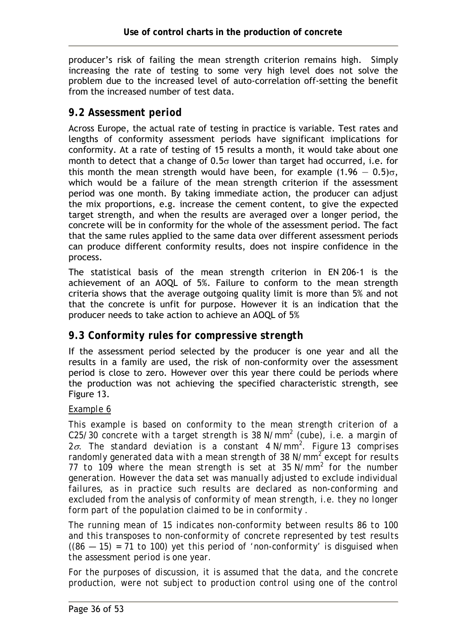producer's risk of failing the mean strength criterion remains high. Simply increasing the rate of testing to some very high level does not solve the problem due to the increased level of auto-correlation off-setting the benefit from the increased number of test data.

## *9.2 Assessment period*

Across Europe, the actual rate of testing in practice is variable. Test rates and lengths of conformity assessment periods have significant implications for conformity. At a rate of testing of 15 results a month, it would take about one month to detect that a change of  $0.5\sigma$  lower than target had occurred, i.e. for this month the mean strength would have been, for example  $(1.96 - 0.5)\sigma$ , which would be a failure of the mean strength criterion if the assessment period was one month. By taking immediate action, the producer can adjust the mix proportions, e.g. increase the cement content, to give the expected target strength, and when the results are averaged over a longer period, the concrete will be in conformity for the whole of the assessment period. The fact that the same rules applied to the same data over different assessment periods can produce different conformity results, does not inspire confidence in the process.

The statistical basis of the mean strength criterion in EN 206-1 is the achievement of an AOQL of 5%. Failure to conform to the mean strength criteria shows that the average outgoing quality limit is more than 5% and not that the concrete is unfit for purpose. However it is an indication that the producer needs to take action to achieve an AOQL of 5%

## *9.3 Conformity rules for compressive strength*

If the assessment period selected by the producer is one year and all the results in a family are used, the risk of non-conformity over the assessment period is close to zero. However over this year there could be periods where the production was not achieving the specified characteristic strength, see Figure 13.

#### *Example 6*

*This example is based on conformity to the mean strength criterion of a C25/30 concrete with a target strength is 38 N/mm2 (cube), i.e. a margin of 2*σ*. The standard deviation is a constant 4 N/mm<sup>2</sup> . Figure 13 comprises randomly generated data with a mean strength of 38 N/mm<sup>2</sup> except for results 77 to 109 where the mean strength is set at 35 N/mm<sup>2</sup> for the number generation. However the data set was manually adjusted to exclude individual failures, as in practice such results are declared as non-conforming and excluded from the analysis of conformity of mean strength, i.e. they no longer form part of the population claimed to be in conformity .* 

*The running mean of 15 indicates non-conformity between results 86 to 100 and this transposes to non-conformity of concrete represented by test results ((86 — 15) = 71 to 100) yet this period of 'non-conformity' is disguised when the assessment period is one year.* 

*For the purposes of discussion, it is assumed that the data, and the concrete production, were not subject to production control using one of the control*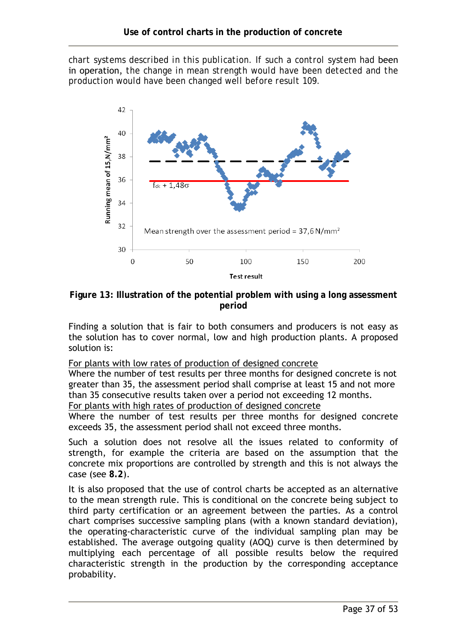*chart systems described in this publication. If such a control system had* been in operation, *the change in mean strength would have been detected and the production would have been changed well before result 109.* 



**Figure 13: Illustration of the potential problem with using a long assessment period** 

Finding a solution that is fair to both consumers and producers is not easy as the solution has to cover normal, low and high production plants. A proposed solution is:

For plants with low rates of production of designed concrete

Where the number of test results per three months for designed concrete is not greater than 35, the assessment period shall comprise at least 15 and not more than 35 consecutive results taken over a period not exceeding 12 months.

For plants with high rates of production of designed concrete

Where the number of test results per three months for designed concrete exceeds 35, the assessment period shall not exceed three months.

Such a solution does not resolve all the issues related to conformity of strength, for example the criteria are based on the assumption that the concrete mix proportions are controlled by strength and this is not always the case (see **8.2**).

It is also proposed that the use of control charts be accepted as an alternative to the mean strength rule. This is conditional on the concrete being subject to third party certification or an agreement between the parties. As a control chart comprises successive sampling plans (with a known standard deviation), the operating-characteristic curve of the individual sampling plan may be established. The average outgoing quality (AOQ) curve is then determined by multiplying each percentage of all possible results below the required characteristic strength in the production by the corresponding acceptance probability.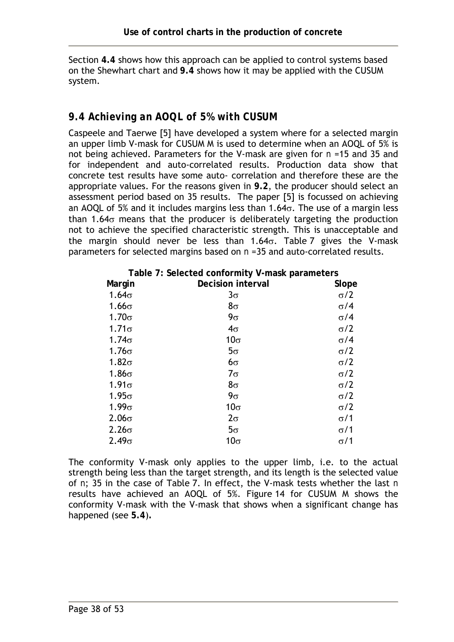Section **4.4** shows how this approach can be applied to control systems based on the Shewhart chart and **9.4** shows how it may be applied with the CUSUM system.

## *9.4 Achieving an AOQL of 5% with CUSUM*

Caspeele and Taerwe [5] have developed a system where for a selected margin an upper limb V-mask for CUSUM M is used to determine when an AOQL of 5% is not being achieved. Parameters for the V-mask are given for *n* =15 and 35 and for independent and auto-correlated results. Production data show that concrete test results have some auto- correlation and therefore these are the appropriate values. For the reasons given in **9.2**, the producer should select an assessment period based on 35 results. The paper [5] is focussed on achieving an AOQL of 5% and it includes margins less than 1.64σ. The use of a margin less than 1.64 $\sigma$  means that the producer is deliberately targeting the production not to achieve the specified characteristic strength. This is unacceptable and the margin should never be less than 1.64 $\sigma$ . Table 7 gives the V-mask parameters for selected margins based on *n* =35 and auto-correlated results.

| Table 7: Selected conformity V-mask parameters |                          |            |  |  |
|------------------------------------------------|--------------------------|------------|--|--|
| Margin                                         | <b>Decision interval</b> | Slope      |  |  |
| $1.64\sigma$                                   | $3\sigma$                | $\sigma/2$ |  |  |
| $1.66\sigma$                                   | $8\sigma$                | $\sigma/4$ |  |  |
| $1.70\sigma$                                   | $9\sigma$                | $\sigma/4$ |  |  |
| $1.71\sigma$                                   | $4\sigma$                | $\sigma/2$ |  |  |
| $1.74\sigma$                                   | $10\sigma$               | $\sigma/4$ |  |  |
| $1.76\sigma$                                   | $5\sigma$                | $\sigma/2$ |  |  |
| $1.82\sigma$                                   | $6\sigma$                | $\sigma/2$ |  |  |
| $1.86\sigma$                                   | $7\sigma$                | $\sigma/2$ |  |  |
| $1.91\sigma$                                   | $8\sigma$                | $\sigma/2$ |  |  |
| $1.95\sigma$                                   | $9\sigma$                | $\sigma/2$ |  |  |
| $1.99\sigma$                                   | $10\sigma$               | $\sigma/2$ |  |  |
| $2.06\sigma$                                   | $2\sigma$                | $\sigma/1$ |  |  |
| $2.26\sigma$                                   | $5\sigma$                | $\sigma/1$ |  |  |
| $2.49\sigma$                                   | $10\sigma$               | $\sigma/1$ |  |  |

The conformity V-mask only applies to the upper limb, i.e. to the actual strength being less than the target strength, and its length is the selected value of *n*; 35 in the case of Table 7. In effect, the V-mask tests whether the last *n* results have achieved an AOQL of 5%. Figure 14 for CUSUM M shows the conformity V-mask with the V-mask that shows when a significant change has happened (see **5.4**)**.**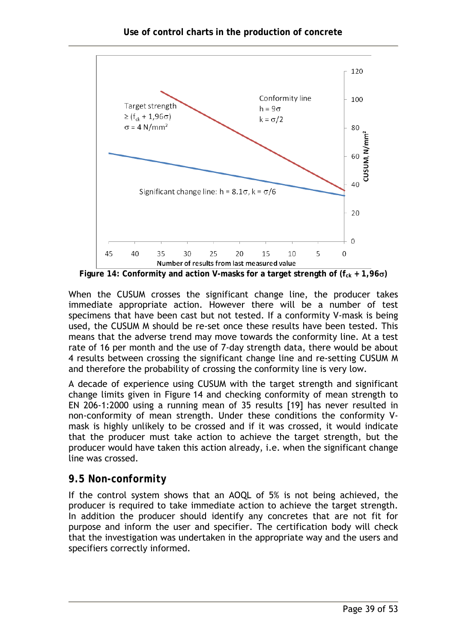

**Figure 14: Conformity and action V-masks for a target strength of (** $f_{ck} + 1,96\sigma$ **)** 

When the CUSUM crosses the significant change line, the producer takes immediate appropriate action. However there will be a number of test specimens that have been cast but not tested. If a conformity V-mask is being used, the CUSUM M should be re-set once these results have been tested. This means that the adverse trend may move towards the conformity line. At a test rate of 16 per month and the use of 7-day strength data, there would be about 4 results between crossing the significant change line and re-setting CUSUM M and therefore the probability of crossing the conformity line is very low.

A decade of experience using CUSUM with the target strength and significant change limits given in Figure 14 and checking conformity of mean strength to EN 206-1:2000 using a running mean of 35 results [19] has never resulted in non-conformity of mean strength. Under these conditions the conformity Vmask is highly unlikely to be crossed and if it was crossed, it would indicate that the producer must take action to achieve the target strength, but the producer would have taken this action already, i.e. when the significant change line was crossed.

#### *9.5 Non-conformity*

If the control system shows that an AOQL of 5% is not being achieved, the producer is required to take immediate action to achieve the target strength. In addition the producer should identify any concretes that are not fit for purpose and inform the user and specifier. The certification body will check that the investigation was undertaken in the appropriate way and the users and specifiers correctly informed.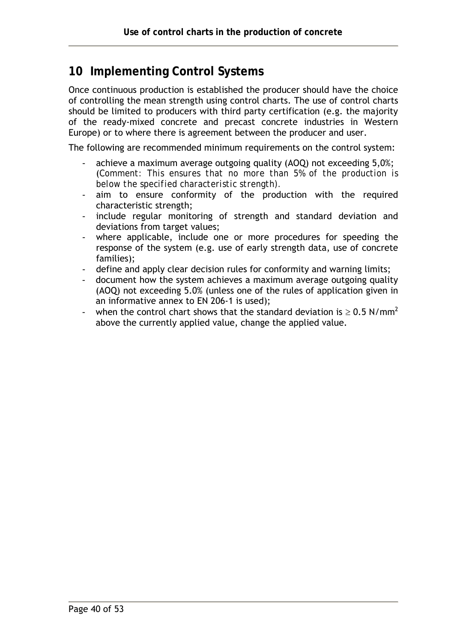# **10 Implementing Control Systems**

Once continuous production is established the producer should have the choice of controlling the mean strength using control charts. The use of control charts should be limited to producers with third party certification (e.g. the majority of the ready-mixed concrete and precast concrete industries in Western Europe) or to where there is agreement between the producer and user.

The following are recommended minimum requirements on the control system:

- achieve a maximum average outgoing quality (AOQ) not exceeding 5,0%; (*Comment: This ensures that no more than 5% of the production is below the specified characteristic strength).*
- aim to ensure conformity of the production with the required characteristic strength;
- include regular monitoring of strength and standard deviation and deviations from target values;
- where applicable, include one or more procedures for speeding the response of the system (e.g. use of early strength data, use of concrete families);
- define and apply clear decision rules for conformity and warning limits;
- document how the system achieves a maximum average outgoing quality (AOQ) not exceeding 5.0% (unless one of the rules of application given in an informative annex to EN 206-1 is used);
- when the control chart shows that the standard deviation is  $\geq 0.5$  N/mm<sup>2</sup> above the currently applied value, change the applied value.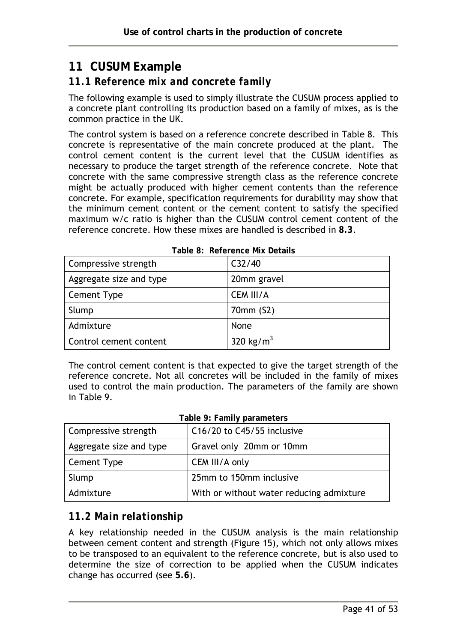# **11 CUSUM Example**

## *11.1 Reference mix and concrete family*

The following example is used to simply illustrate the CUSUM process applied to a concrete plant controlling its production based on a family of mixes, as is the common practice in the UK.

The control system is based on a reference concrete described in Table 8. This concrete is representative of the main concrete produced at the plant. The control cement content is the current level that the CUSUM identifies as necessary to produce the target strength of the reference concrete. Note that concrete with the same compressive strength class as the reference concrete might be actually produced with higher cement contents than the reference concrete. For example, specification requirements for durability may show that the minimum cement content or the cement content to satisfy the specified maximum w/c ratio is higher than the CUSUM control cement content of the reference concrete. How these mixes are handled is described in **8.3**.

| Compressive strength    | C32/40                |  |  |  |
|-------------------------|-----------------------|--|--|--|
| Aggregate size and type | 20mm gravel           |  |  |  |
| Cement Type             | CEM III/A             |  |  |  |
| Slump                   | 70mm (S2)             |  |  |  |
| Admixture               | None                  |  |  |  |
| Control cement content  | 320 kg/m <sup>3</sup> |  |  |  |

**Table 8: Reference Mix Details** 

The control cement content is that expected to give the target strength of the reference concrete. Not all concretes will be included in the family of mixes used to control the main production. The parameters of the family are shown in Table 9.

#### **Table 9: Family parameters**

| Compressive strength    | C16/20 to C45/55 inclusive               |
|-------------------------|------------------------------------------|
| Aggregate size and type | Gravel only 20mm or 10mm                 |
| Cement Type             | CEM III/A only                           |
| Slump                   | 25mm to 150mm inclusive                  |
| Admixture               | With or without water reducing admixture |

## *11.2 Main relationship*

A key relationship needed in the CUSUM analysis is the main relationship between cement content and strength (Figure 15), which not only allows mixes to be transposed to an equivalent to the reference concrete, but is also used to determine the size of correction to be applied when the CUSUM indicates change has occurred (see **5.6**).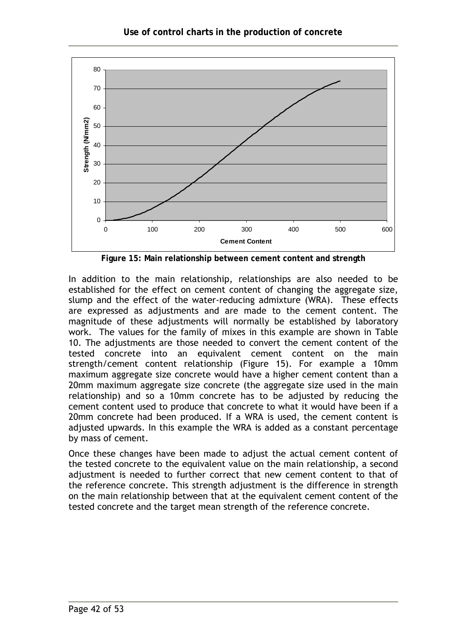

**Figure 15: Main relationship between cement content and strength** 

In addition to the main relationship, relationships are also needed to be established for the effect on cement content of changing the aggregate size, slump and the effect of the water-reducing admixture (WRA). These effects are expressed as adjustments and are made to the cement content. The magnitude of these adjustments will normally be established by laboratory work. The values for the family of mixes in this example are shown in Table 10. The adjustments are those needed to convert the cement content of the tested concrete into an equivalent cement content on the main strength/cement content relationship (Figure 15). For example a 10mm maximum aggregate size concrete would have a higher cement content than a 20mm maximum aggregate size concrete (the aggregate size used in the main relationship) and so a 10mm concrete has to be adjusted by reducing the cement content used to produce that concrete to what it would have been if a 20mm concrete had been produced. If a WRA is used, the cement content is adjusted upwards. In this example the WRA is added as a constant percentage by mass of cement.

Once these changes have been made to adjust the actual cement content of the tested concrete to the equivalent value on the main relationship, a second adjustment is needed to further correct that new cement content to that of the reference concrete. This strength adjustment is the difference in strength on the main relationship between that at the equivalent cement content of the tested concrete and the target mean strength of the reference concrete.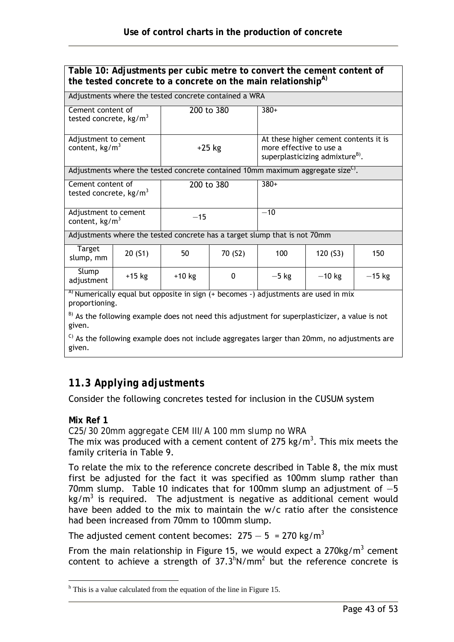| Table 10: Adjustments per cubic metre to convert the cement content of<br>the tested concrete to a concrete on the main relationship <sup>A)</sup> |                                                                       |                                                                                                                             |          |                                                                                            |          |          |
|----------------------------------------------------------------------------------------------------------------------------------------------------|-----------------------------------------------------------------------|-----------------------------------------------------------------------------------------------------------------------------|----------|--------------------------------------------------------------------------------------------|----------|----------|
|                                                                                                                                                    |                                                                       | Adjustments where the tested concrete contained a WRA                                                                       |          |                                                                                            |          |          |
| Cement content of<br>tested concrete, $kg/m3$                                                                                                      |                                                                       | 200 to 380                                                                                                                  |          | $380+$                                                                                     |          |          |
| Adjustment to cement<br>content, $kg/m3$                                                                                                           |                                                                       | At these higher cement contents it is<br>$+25$ kg<br>more effective to use a<br>superplasticizing admixture <sup>B)</sup> . |          |                                                                                            |          |          |
|                                                                                                                                                    |                                                                       |                                                                                                                             |          | Adjustments where the tested concrete contained 10mm maximum aggregate size <sup>C</sup> . |          |          |
|                                                                                                                                                    | $380+$<br>Cement content of<br>200 to 380<br>tested concrete, $kg/m3$ |                                                                                                                             |          |                                                                                            |          |          |
| Adjustment to cement<br>content, $\text{kg/m}^3$                                                                                                   |                                                                       | $-15$                                                                                                                       | $-10$    |                                                                                            |          |          |
|                                                                                                                                                    |                                                                       |                                                                                                                             |          | Adjustments where the tested concrete has a target slump that is not 70mm                  |          |          |
| <b>Target</b><br>slump, mm                                                                                                                         | 20(51)                                                                | 50                                                                                                                          | 70 (S2)  | 100                                                                                        | 120 (S3) | 150      |
| Slump<br>adjustment                                                                                                                                | $+15$ kg                                                              | $+10$ kg                                                                                                                    | $\Omega$ | $-5$ kg                                                                                    | $-10$ kg | $-15$ kg |
| <sup>A)</sup> Numerically equal but opposite in sign $(+)$ becomes $-$ ) adjustments are used in mix<br>proportioning.                             |                                                                       |                                                                                                                             |          |                                                                                            |          |          |
| B) As the following example does not need this adjustment for superplasticizer, a value is not<br>given.                                           |                                                                       |                                                                                                                             |          |                                                                                            |          |          |
| <sup>C)</sup> As the following example does not include aggregates larger than 20mm, no adjustments are<br>given.                                  |                                                                       |                                                                                                                             |          |                                                                                            |          |          |

# *11.3 Applying adjustments*

Consider the following concretes tested for inclusion in the CUSUM system

#### **Mix Ref 1**

*C25/30 20mm aggregate CEM III/A 100 mm slump no WRA* 

The mix was produced with a cement content of 275 kg/m<sup>3</sup>. This mix meets the family criteria in Table 9.

To relate the mix to the reference concrete described in Table 8, the mix must first be adjusted for the fact it was specified as 100mm slump rather than 70mm slump. Table 10 indicates that for 100mm slump an adjustment of  $-5$  $kg/m<sup>3</sup>$  is required. The adjustment is negative as additional cement would have been added to the mix to maintain the w/c ratio after the consistence had been increased from 70mm to 100mm slump.

The adjusted cement content becomes:  $275 - 5 = 270$  kg/m<sup>3</sup>

From the main relationship in Figure 15, we would expect a 270kg/m<sup>3</sup> cement content to achieve a strength of  $37.3^h$ N/mm<sup>2</sup> but the reference concrete is

 $\overline{a}$ <sup>h</sup> This is a value calculated from the equation of the line in Figure 15.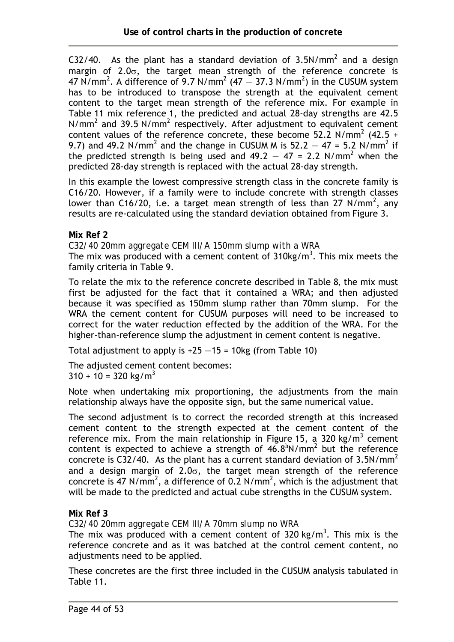C32/40. As the plant has a standard deviation of 3.5N/mm<sup>2</sup> and a design margin of  $2.0\sigma$ , the target mean strength of the reference concrete is 47 N/mm<sup>2</sup>. A difference of 9.7 N/mm<sup>2</sup> (47  $-$  37.3 N/mm<sup>2</sup>) in the CUSUM system has to be introduced to transpose the strength at the equivalent cement content to the target mean strength of the reference mix. For example in Table 11 mix reference 1, the predicted and actual 28-day strengths are 42.5 N/mm<sup>2</sup> and 39.5 N/mm<sup>2</sup> respectively. After adjustment to equivalent cement content values of the reference concrete, these become 52.2 N/mm<sup>2</sup> (42.5 + 9.7) and 49.2 N/mm<sup>2</sup> and the change in CUSUM M is  $52.2 - 47 = 5.2$  N/mm<sup>2</sup> if the predicted strength is being used and  $49.2 - 47 = 2.2$  N/mm<sup>2</sup> when the predicted 28-day strength is replaced with the actual 28-day strength.

In this example the lowest compressive strength class in the concrete family is C16/20. However, if a family were to include concrete with strength classes lower than C16/20, i.e. a target mean strength of less than 27  $N/mm^2$ , any results are re-calculated using the standard deviation obtained from Figure 3.

**Mix Ref 2** 

*C32/40 20mm aggregate CEM III/A 150mm slump with a WRA*  The mix was produced with a cement content of  $310$ kg/m<sup>3</sup>. This mix meets the family criteria in Table 9.

To relate the mix to the reference concrete described in Table 8, the mix must first be adjusted for the fact that it contained a WRA; and then adjusted because it was specified as 150mm slump rather than 70mm slump. For the WRA the cement content for CUSUM purposes will need to be increased to correct for the water reduction effected by the addition of the WRA. For the higher-than-reference slump the adjustment in cement content is negative.

Total adjustment to apply is  $+25 - 15 = 10$ kg (from Table 10)

The adjusted cement content becomes:

 $310 + 10 = 320$  kg/m<sup>3</sup>

Note when undertaking mix proportioning, the adjustments from the main relationship always have the opposite sign, but the same numerical value.

The second adjustment is to correct the recorded strength at this increased cement content to the strength expected at the cement content of the reference mix. From the main relationship in Figure 15, a 320 kg/m<sup>3</sup> cement content is expected to achieve a strength of  $46.8^{\text{h}}$ N/mm<sup>2</sup> but the reference concrete is C32/40. As the plant has a current standard deviation of 3.5N/mm<sup>2</sup> and a design margin of  $2.0\sigma$ , the target mean strength of the reference concrete is 47 N/mm<sup>2</sup>, a difference of 0.2 N/mm<sup>2</sup>, which is the adjustment that will be made to the predicted and actual cube strengths in the CUSUM system.

**Mix Ref 3** 

*C32/40 20mm aggregate CEM III/A 70mm slump no WRA* 

The mix was produced with a cement content of 320 kg/m<sup>3</sup>. This mix is the reference concrete and as it was batched at the control cement content, no adjustments need to be applied.

These concretes are the first three included in the CUSUM analysis tabulated in Table 11.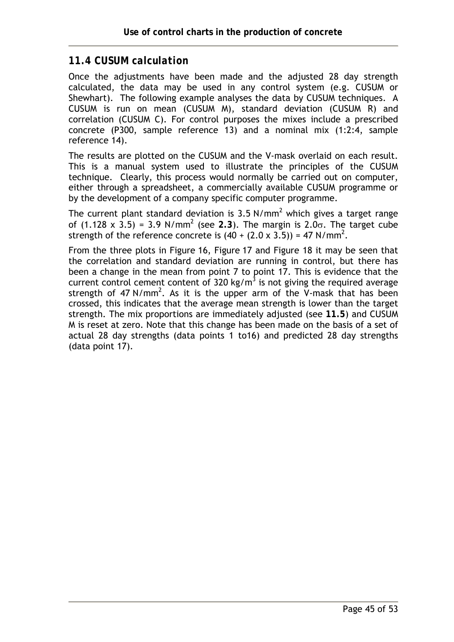#### *11.4 CUSUM calculation*

Once the adjustments have been made and the adjusted 28 day strength calculated, the data may be used in any control system (e.g. CUSUM or Shewhart). The following example analyses the data by CUSUM techniques. A CUSUM is run on mean (CUSUM M), standard deviation (CUSUM R) and correlation (CUSUM C). For control purposes the mixes include a prescribed concrete (P300, sample reference 13) and a nominal mix (1:2:4, sample reference 14).

The results are plotted on the CUSUM and the V-mask overlaid on each result. This is a manual system used to illustrate the principles of the CUSUM technique. Clearly, this process would normally be carried out on computer, either through a spreadsheet, a commercially available CUSUM programme or by the development of a company specific computer programme.

The current plant standard deviation is 3.5 N/mm<sup>2</sup> which gives a target range of  $(1.128 \times 3.5) = 3.9$  N/mm<sup>2</sup> (see 2.3). The margin is 2.0σ. The target cube strength of the reference concrete is  $(40 + (2.0 \times 3.5)) = 47$  N/mm<sup>2</sup>.

From the three plots in Figure 16, Figure 17 and Figure 18 it may be seen that the correlation and standard deviation are running in control, but there has been a change in the mean from point 7 to point 17. This is evidence that the current control cement content of 320 kg/m<sup>3</sup> is not giving the required average strength of 47 N/mm<sup>2</sup>. As it is the upper arm of the V-mask that has been crossed, this indicates that the average mean strength is lower than the target strength. The mix proportions are immediately adjusted (see **11.5**) and CUSUM M is reset at zero. Note that this change has been made on the basis of a set of actual 28 day strengths (data points 1 to16) and predicted 28 day strengths (data point 17).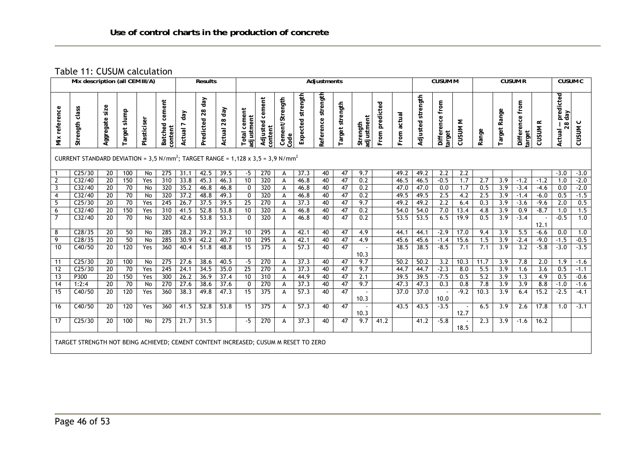Table 11: CUSUM calculation

| Mix description (all CEM III/A)                                                                         |                                                                                     |                       |                 |             |                              |                 | <b>Results</b>         |               | <b>Adjustments</b>            |                               |                         |                      |                       |                 |                        |                |              |                   | <b>CUSUM M</b>            |                    | <b>CUSUM R</b> |                  |                              |                | <b>CUSUM C</b>                   |            |
|---------------------------------------------------------------------------------------------------------|-------------------------------------------------------------------------------------|-----------------------|-----------------|-------------|------------------------------|-----------------|------------------------|---------------|-------------------------------|-------------------------------|-------------------------|----------------------|-----------------------|-----------------|------------------------|----------------|--------------|-------------------|---------------------------|--------------------|----------------|------------------|------------------------------|----------------|----------------------------------|------------|
| reference<br>š                                                                                          | Strength class                                                                      | Aggregate size        | Target slump    | Plasticiser | cement<br>Batched<br>content | day<br>Actual 7 | day<br>28<br>Predicted | Actual 28 day | cement<br>adjustment<br>Total | cement<br>Adjusted<br>content | Cement/Strength<br>Code | strength<br>Expected | strength<br>Reference | Target strength | adjustment<br>Strength | From predicted | From actual  | Adjusted strength | Difference from<br>target | CUSUM <sub>M</sub> | Range          | Target Range     | from<br>Difference<br>target | <b>CUSUM R</b> | predicted<br>day<br>28<br>Actual | ပ<br>CUSUM |
| CURRENT STANDARD DEVIATION = 3,5 N/mm <sup>2</sup> ; TARGET RANGE = 1,128 x 3,5 = 3,9 N/mm <sup>2</sup> |                                                                                     |                       |                 |             |                              |                 |                        |               |                               |                               |                         |                      |                       |                 |                        |                |              |                   |                           |                    |                |                  |                              |                |                                  |            |
| $\overline{1}$                                                                                          | C <sub>25/30</sub>                                                                  | 20                    | 100             | No          | 275                          | 31.1            | 42.5                   | 39.5          | -5                            | 270                           | А                       | 37.3                 | 40                    | 47              | 9.7                    |                | 49.2         | 49.2              | 2.2                       | 2.2                |                |                  |                              |                | $-3.0$                           | $-3.0$     |
| $\overline{2}$                                                                                          | C32/40                                                                              | $\overline{20}$       | 150             | Yes         | 310                          | 33.8            | 45.3                   | 46.3          | 10                            | 320                           | A                       | 46.8                 | 40                    | 47              | 0.2                    |                | 46.5         | 46.5              | $-0.5$                    | 1.7                | 2.7            | 3.9              | $-1.2$                       | $-1.2$         | 1.0                              | $-2.0$     |
| $\overline{3}$                                                                                          | C32/40                                                                              | 20                    | 70              | No          | 320                          | 35.2            | 46.8                   | 46.8          | 0                             | 320                           | A                       | 46.8                 | 40                    | 47              | 0.2                    |                | 47.0         | 47.0              | 0.0                       | 1.7                | 0.5            | 3.9              | $-3.4$                       | $-4.6$         | 0.0                              | $-2.0$     |
| $\overline{4}$                                                                                          | C32/40                                                                              | 20                    | 70              | No          | 320                          | 37.2            | 48.8                   | 49.3          | $\mathbf{0}$                  | 320                           | A                       | 46.8                 | 40                    | 47              | $\overline{0.2}$       |                | 49.5         | 49.5              | 2.5                       | 4.2                | 2.5            | 3.9              | $-1.4$                       | $-6.0$         | 0.5                              | $-1.5$     |
| 5                                                                                                       | C <sub>25/30</sub>                                                                  | 20                    | 70              | Yes         | 245                          | 26.7            | 37.5                   | 39.5          | 25                            | 270                           | A                       | 37.3                 | 40                    | 47              | 9.7                    |                | 49.2         | 49.2              | 2.2                       | 6.4                | 0.3            | 3.9              | $-3.6$                       | $-9.6$         | 2.0                              | 0.5        |
| 6<br>$\overline{7}$                                                                                     | C32/40<br>C32/40                                                                    | $\overline{20}$<br>20 | 150<br>70       | Yes         | 310<br>320                   | 41.5<br>42.6    | 52.8<br>53.8           | 53.8<br>53.3  | 10<br>$\mathbf{0}$            | 320<br>320                    | A                       | 46.8                 | 40<br>40              | 47<br>47        | 0.2<br>0.2             |                | 54.0<br>53.5 | 54.0<br>53.5      | 7.0<br>6.5                | 13.4<br>19.9       | 4.8<br>0.5     | 3.9<br>3.9       | 0.9<br>$-3.4$                | $-8.7$         | 1.0<br>$-0.5$                    | 1.5<br>1.0 |
|                                                                                                         |                                                                                     |                       |                 | No          |                              |                 |                        |               |                               |                               | A                       | 46.8                 |                       |                 |                        |                |              |                   |                           |                    |                |                  |                              | 12.1           |                                  |            |
| 8                                                                                                       | C28/35                                                                              | 20                    | 50              | No          | 285                          | 28.2            | 39.2                   | 39.2          | 10                            | $\overline{295}$              | A                       | 42.1                 | 40                    | 47              | 4.9                    |                | 44.1         | 44.1              | $-2.9$                    | 17.0               | 9.4            | 3.9              | $\overline{5.5}$             | $-6.6$         | 0.0                              | 1.0        |
| 9                                                                                                       | C28/35                                                                              | 20                    | 50              | No          | 285                          | 30.9            | 42.2                   | 40.7          | 10                            | 295                           | A                       | 42.1                 | 40                    | 47              | 4.9                    |                | 45.6         | 45.6              | $-1.4$                    | 15.6               | 1.5            | 3.9              | $-2.4$                       | $-9.0$         | $-1.5$                           | $-0.5$     |
| 10                                                                                                      | C40/50                                                                              | $\overline{20}$       | 120             | Yes         | 360                          | 40.4            | 51.8                   | 48.8          | $\overline{15}$               | 375                           | A                       | 57.3                 | 40                    | 47              | 10.3                   |                | 38.5         | 38.5              | $-8.5$                    | 7.1                | 7.1            | $\overline{3.9}$ | 3.2                          | $-5.8$         | $-3.0$                           | $-3.5$     |
| 11                                                                                                      | C <sub>25/30</sub>                                                                  | $\overline{20}$       | 100             | No          | 275                          | 27.6            | 38.6                   | 40.5          | $-5$                          | 270                           | A                       | 37.3                 | 40                    | 47              | 9.7                    |                | 50.2         | 50.2              | $\overline{3.2}$          | 10.3               | 11.7           | 3.9              | 7.8                          | 2.0            | 1.9                              | $-1.6$     |
| $\overline{12}$                                                                                         | C <sub>25/30</sub>                                                                  | $\overline{20}$       | $\overline{70}$ | Yes         | $\overline{245}$             | 24.1            | 34.5                   | 35.0          | $\overline{25}$               | 270                           | A                       | 37.3                 | 40                    | 47              | 9.7                    |                | 44.7         | 44.7              | $-2.3$                    | 8.0                | 5.5            | 3.9              | 1.6                          | 3.6            | 0.5                              | $-1.1$     |
| $\overline{13}$                                                                                         | P300                                                                                | $\overline{20}$       | 150             | Yes         | 300                          | 26.2            | 36.9                   | 37.4          | 10                            | 310                           | Α                       | 44.9                 | 40                    | 47              | 2.1                    |                | 39.5         | 39.5              | $-7.5$                    | 0.5                | 5.2            | 3.9              | 1.3                          | 4.9            | 0.5                              | $-0.6$     |
| $\overline{14}$                                                                                         | 1:2:4                                                                               | $\overline{20}$       | 70              | No          | 270                          | 27.6            | 38.6                   | 37.6          | 0                             | 270                           | А                       | 37.3                 | 40                    | 47              | 9.7                    |                | 47.3         | 47.3              | 0.3                       | 0.8                | 7.8            | 3.9              | 3.9                          | 8.8            | $-1.0$                           | $-1.6$     |
| 15                                                                                                      | C40/50                                                                              | 20                    | 120             | Yes         | 360                          | 38.3            | 49.8                   | 47.3          | 15                            | 375                           | A                       | 57.3                 | 40                    | 47              | 10.3                   |                | 37.0         | 37.0              | 10.0                      | $-9.2$             | 10.3           | 3.9              | 6.4                          | 15.2           | $-2.5$                           | $-4.1$     |
| 16                                                                                                      | C40/50                                                                              | 20                    | 120             | Yes         | 360                          | 41.5            | 52.8                   | 53.8          | 15                            | 375                           | A                       | 57.3                 | 40                    | 47              | 10.3                   |                | 43.5         | 43.5              | $-3.5$                    | 12.7               | 6.5            | $\overline{3.9}$ | 2.6                          | 17.8           | 1.0                              | $-3.1$     |
| 17                                                                                                      | C <sub>25/30</sub>                                                                  | 20                    | 100             | No          | 275                          | 21.7            | 31.5                   |               | $-5$                          | 270                           | A                       | 37.3                 | 40                    | $\overline{47}$ | 9.7                    | 41.2           |              | 41.2              | $-5.8$                    | 18.5               | 2.3            | 3.9              | $-1.6$                       | 16.2           |                                  |            |
|                                                                                                         | TARGET STRENGTH NOT BEING ACHIEVED; CEMENT CONTENT INCREASED; CUSUM M RESET TO ZERO |                       |                 |             |                              |                 |                        |               |                               |                               |                         |                      |                       |                 |                        |                |              |                   |                           |                    |                |                  |                              |                |                                  |            |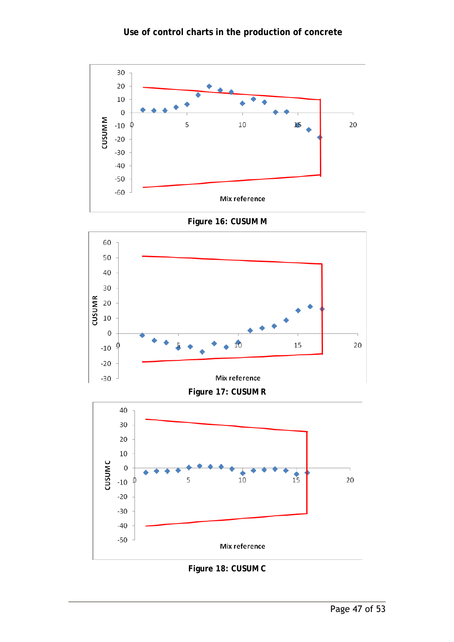



**Figure 16: CUSUM M** 

**Figure 17: CUSUM R** 



#### **Figure 18: CUSUM C**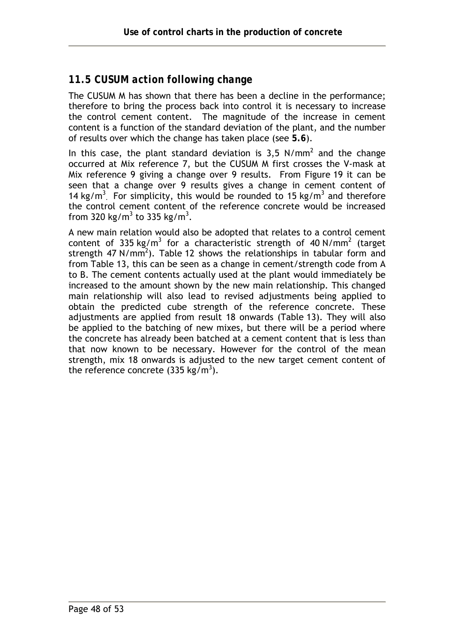## *11.5 CUSUM action following change*

The CUSUM M has shown that there has been a decline in the performance; therefore to bring the process back into control it is necessary to increase the control cement content. The magnitude of the increase in cement content is a function of the standard deviation of the plant, and the number of results over which the change has taken place (see **5.6**).

In this case, the plant standard deviation is 3,5 N/mm<sup>2</sup> and the change occurred at Mix reference 7, but the CUSUM M first crosses the V-mask at Mix reference 9 giving a change over 9 results. From Figure 19 it can be seen that a change over 9 results gives a change in cement content of 14 kg/m<sup>3</sup>. For simplicity, this would be rounded to 15 kg/m<sup>3</sup> and therefore the control cement content of the reference concrete would be increased from 320 kg/m<sup>3</sup> to 335 kg/m<sup>3</sup>.

A new main relation would also be adopted that relates to a control cement content of 335 kg/m<sup>3</sup> for a characteristic strength of 40 N/mm<sup>2</sup> (target strength 47 N/mm<sup>2</sup>). Table 12 shows the relationships in tabular form and from Table 13, this can be seen as a change in cement/strength code from A to B. The cement contents actually used at the plant would immediately be increased to the amount shown by the new main relationship. This changed main relationship will also lead to revised adjustments being applied to obtain the predicted cube strength of the reference concrete. These adjustments are applied from result 18 onwards (Table 13). They will also be applied to the batching of new mixes, but there will be a period where the concrete has already been batched at a cement content that is less than that now known to be necessary. However for the control of the mean strength, mix 18 onwards is adjusted to the new target cement content of the reference concrete (335 kg/m<sup>3</sup>).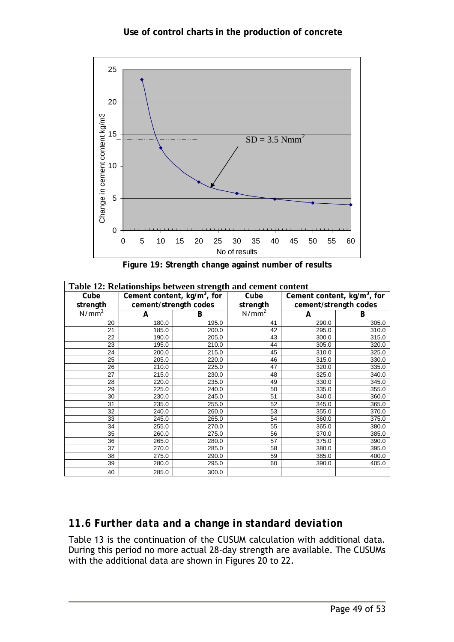

**Figure 19: Strength change against number of results** 

| Table 12: Relationships between strength and cement content |       |                                         |                   |                               |       |  |  |  |  |  |  |  |  |
|-------------------------------------------------------------|-------|-----------------------------------------|-------------------|-------------------------------|-------|--|--|--|--|--|--|--|--|
| Cube                                                        |       | Cement content, kg/m <sup>3</sup> , for | Cube              | Cement content, $kg/m3$ , for |       |  |  |  |  |  |  |  |  |
| strength                                                    |       | cement/strength codes                   | strength          | cement/strength codes         |       |  |  |  |  |  |  |  |  |
| N/mm <sup>2</sup>                                           | A     | B                                       | N/mm <sup>2</sup> | A                             | B     |  |  |  |  |  |  |  |  |
| 20                                                          | 180.0 | 195.0                                   | 41                | 290.0                         | 305.0 |  |  |  |  |  |  |  |  |
| 21                                                          | 185.0 | 200.0                                   | 42                | 295.0                         | 310.0 |  |  |  |  |  |  |  |  |
| 22                                                          | 190.0 | 205.0                                   | 43                | 300.0                         | 315.0 |  |  |  |  |  |  |  |  |
| 23                                                          | 195.0 | 210.0                                   | 44                | 305.0                         | 320.0 |  |  |  |  |  |  |  |  |
| 24                                                          | 200.0 | 215.0                                   | 45                | 310.0                         | 325.0 |  |  |  |  |  |  |  |  |
| 25                                                          | 205.0 | 220.0                                   | 46                | 315.0                         | 330.0 |  |  |  |  |  |  |  |  |
| 26                                                          | 210.0 | 225.0                                   | 47                | 320.0                         | 335.0 |  |  |  |  |  |  |  |  |
| 27                                                          | 215.0 | 230.0                                   | 48                | 325.0                         | 340.0 |  |  |  |  |  |  |  |  |
| 28                                                          | 220.0 | 235.0                                   | 49                | 330.0                         | 345.0 |  |  |  |  |  |  |  |  |
| 29                                                          | 225.0 | 240.0                                   | 50                | 335.0                         | 355.0 |  |  |  |  |  |  |  |  |
| 30                                                          | 230.0 | 245.0                                   | 51                | 340.0                         | 360.0 |  |  |  |  |  |  |  |  |
| 31                                                          | 235.0 | 255.0                                   | 52                | 345.0                         | 365.0 |  |  |  |  |  |  |  |  |
| 32                                                          | 240.0 | 260.0                                   | 53                | 355.0                         | 370.0 |  |  |  |  |  |  |  |  |
| 33                                                          | 245.0 | 265.0                                   | 54                | 360.0                         | 375.0 |  |  |  |  |  |  |  |  |
| 34                                                          | 255.0 | 270.0                                   | 55                | 365.0                         | 380.0 |  |  |  |  |  |  |  |  |
| 35                                                          | 260.0 | 275.0                                   | 56                | 370.0                         | 385.0 |  |  |  |  |  |  |  |  |
| 36                                                          | 265.0 | 280.0                                   | 57                | 375.0                         | 390.0 |  |  |  |  |  |  |  |  |
| 37                                                          | 270.0 | 285.0                                   | 58                | 380.0                         | 395.0 |  |  |  |  |  |  |  |  |
| 38                                                          | 275.0 | 290.0                                   | 59                | 385.0                         | 400.0 |  |  |  |  |  |  |  |  |
| 39                                                          | 280.0 | 295.0                                   | 60                | 390.0                         | 405.0 |  |  |  |  |  |  |  |  |
| 40                                                          | 285.0 | 300.0                                   |                   |                               |       |  |  |  |  |  |  |  |  |

## *11.6 Further data and a change in standard deviation*

Table 13 is the continuation of the CUSUM calculation with additional data. During this period no more actual 28-day strength are available. The CUSUMs with the additional data are shown in Figures 20 to 22.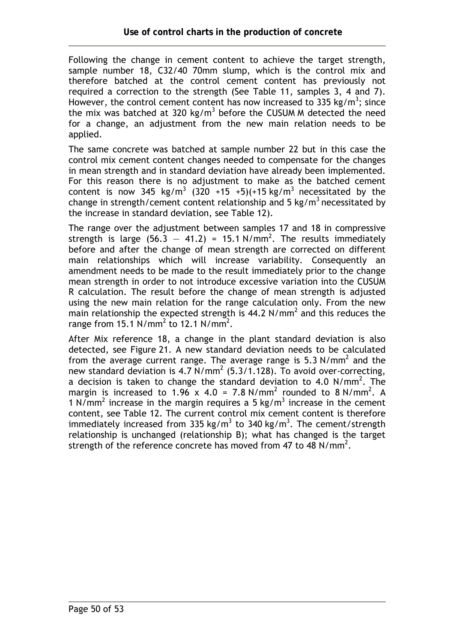Following the change in cement content to achieve the target strength, sample number 18, C32/40 70mm slump, which is the control mix and therefore batched at the control cement content has previously not required a correction to the strength (See Table 11, samples 3, 4 and 7). However, the control cement content has now increased to 335 kg/m<sup>3</sup>; since the mix was batched at 320 kg/m<sup>3</sup> before the CUSUM M detected the need for a change, an adjustment from the new main relation needs to be applied.

The same concrete was batched at sample number 22 but in this case the control mix cement content changes needed to compensate for the changes in mean strength and in standard deviation have already been implemented. For this reason there is no adjustment to make as the batched cement content is now 345 kg/m<sup>3</sup> (320 +15 +5)(+15 kg/m<sup>3</sup> necessitated by the change in strength/cement content relationship and 5 kg/m<sup>3</sup> necessitated by the increase in standard deviation, see Table 12).

The range over the adjustment between samples 17 and 18 in compressive strength is large  $(56.3 - 41.2) = 15.1 \text{ N/mm}^2$ . The results immediately before and after the change of mean strength are corrected on different main relationships which will increase variability. Consequently an amendment needs to be made to the result immediately prior to the change mean strength in order to not introduce excessive variation into the CUSUM R calculation. The result before the change of mean strength is adjusted using the new main relation for the range calculation only. From the new main relationship the expected strength is  $44.2 \text{ N/mm}^2$  and this reduces the range from 15.1  $N/mm^2$  to 12.1  $N/mm^2$ .

After Mix reference 18, a change in the plant standard deviation is also detected, see Figure 21. A new standard deviation needs to be calculated from the average current range. The average range is 5.3 N/mm<sup>2</sup> and the new standard deviation is 4.7  $N/mm^2$  (5.3/1.128). To avoid over-correcting, a decision is taken to change the standard deviation to 4.0  $N/mm^2$ . The margin is increased to 1.96 x 4.0 = 7.8 N/mm<sup>2</sup> rounded to 8 N/mm<sup>2</sup>. A 1 N/mm<sup>2</sup> increase in the margin requires a 5 kg/m<sup>3</sup> increase in the cement content, see Table 12. The current control mix cement content is therefore immediately increased from 335 kg/m<sup>3</sup> to 340 kg/m<sup>3</sup>. The cement/strength relationship is unchanged (relationship B); what has changed is the target strength of the reference concrete has moved from 47 to 48 N/mm<sup>2</sup>.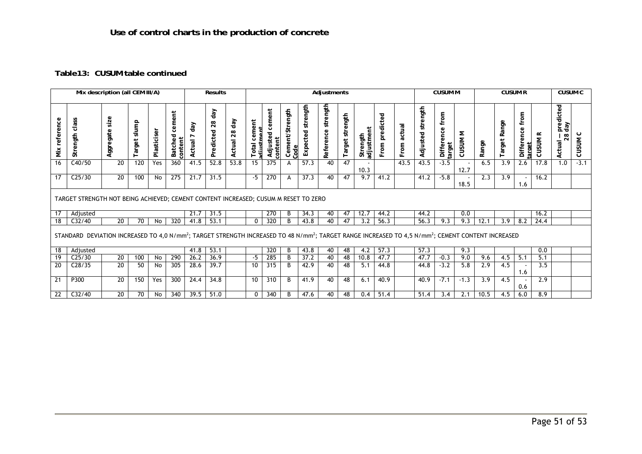#### **Table13: CUSUM table continued**

| Mix description (all CEM III/A) |                                                                                                                                                                                        |                   |                |             |                              | <b>Results</b><br>Adjustments |                        |                     |                           |                               |                         |                      |                       |                    |                        |                   |                | <b>CUSUM M</b>       |                              |            | <b>CUSUM R</b> | <b>CUSUM C</b> |                              |                |                                  |            |
|---------------------------------|----------------------------------------------------------------------------------------------------------------------------------------------------------------------------------------|-------------------|----------------|-------------|------------------------------|-------------------------------|------------------------|---------------------|---------------------------|-------------------------------|-------------------------|----------------------|-----------------------|--------------------|------------------------|-------------------|----------------|----------------------|------------------------------|------------|----------------|----------------|------------------------------|----------------|----------------------------------|------------|
| reference<br>Mix                | class<br>Strength                                                                                                                                                                      | size<br>Aggregate | slump<br>arget | Plasticiser | cement<br>Batched<br>content | day<br>Actual                 | day<br>28<br>Predicted | day<br>28<br>Actual | cement<br>Total<br>adirst | cement<br>Adjusted<br>content | Cement/Strength<br>Code | strength<br>Expected | strength<br>Reference | strength<br>Target | adjustment<br>Strength | predicted<br>From | actual<br>From | strength<br>Adjusted | , Difference from<br>"target | Σ<br>CUSUM | Range          | Target Range   | from<br>Difference<br>target | <b>CUSUM R</b> | predicted<br>day<br>28<br>Actual | ပ<br>CUSUM |
| 16                              | C40/50                                                                                                                                                                                 | 20                | 120            | Yes         | 360                          | 41.5                          | 52.8                   | 53.8                | 15                        | 375                           | A                       | 57.3                 | 40                    | 47                 | 10.3                   |                   | 43.5           | 43.5                 | $-3.5$                       | 12.7       | 6.5            | 3.9            | 2.6                          | 17.8           | 1.0                              | $-3.1$     |
| 17                              | C <sub>25/30</sub>                                                                                                                                                                     | 20                | 100            | No          | 275                          | 21.7                          | 31.5                   |                     | $-5$                      | 270                           | A                       | 37.3                 | 40                    | 47                 | 9.7                    | 41.2              |                | 41.2                 | $-5.8$                       | 18.5       | 2.3            | 3.9            | 1.6                          | 16.2           |                                  |            |
|                                 | TARGET STRENGTH NOT BEING ACHIEVED; CEMENT CONTENT INCREASED; CUSUM M RESET TO ZERO                                                                                                    |                   |                |             |                              |                               |                        |                     |                           |                               |                         |                      |                       |                    |                        |                   |                |                      |                              |            |                |                |                              |                |                                  |            |
| 17                              | Adjusted                                                                                                                                                                               |                   |                |             |                              | 21.7                          | 31.5                   |                     |                           | 270                           | B                       | 34.3                 | 40                    | 47                 | 12.7                   | 44.2              |                | 44.2                 |                              | 0.0        |                |                |                              | 16.2           |                                  |            |
| 18                              | C32/40                                                                                                                                                                                 | 20                | 70             | No          | 320                          | 41.8                          | 53.1                   |                     | 0                         | 320                           | B                       | 43.8                 | 40                    | 47                 | 3.2                    | 56.3              |                | 56.3                 | 9.3                          | 9.3        | 12.1           | 3.9            | 8.2                          | 24.4           |                                  |            |
|                                 | STANDARD DEVIATION INCREASED TO 4,0 N/mm <sup>2</sup> ; TARGET STRENGTH INCREASED TO 48 N/mm <sup>2</sup> ; TARGET RANGE INCREASED TO 4,5 N/mm <sup>2</sup> ; CEMENT CONTENT INCREASED |                   |                |             |                              |                               |                        |                     |                           |                               |                         |                      |                       |                    |                        |                   |                |                      |                              |            |                |                |                              |                |                                  |            |
| 18                              | Adjusted                                                                                                                                                                               |                   |                |             |                              | 41.8                          | 53.1                   |                     |                           | 320                           | B                       | 43.8                 | 40                    | 48                 | 4.2                    | 57.3              |                | 57.3                 |                              | 9.3        |                |                |                              | 0.0            |                                  |            |
| 19                              | C <sub>25/30</sub>                                                                                                                                                                     | 20                | 100            | No          | 290                          | 26.2                          | 36.9                   |                     | -5                        | 285                           | B                       | 37.2                 | 40                    | 48                 | 10.8                   | 47.7              |                | 47.7                 | $-0.3$                       | 9.0        | 9.6            | 4.5            | 5.1                          | 5.1            |                                  |            |
| 20                              | C <sub>28/35</sub>                                                                                                                                                                     | 20                | 50             | No          | 305                          | 28.6                          | 39.7                   |                     | 10                        | 315                           | B                       | 42.9                 | 40                    | 48                 | 5.1                    | 44.8              |                | 44.8                 | $-3.2$                       | 5.8        | 2.9            | 4.5            | 1.6                          | 3.5            |                                  |            |
| 21                              | P300                                                                                                                                                                                   | $\overline{20}$   | 150            | Yes         | 300                          | 24.4                          | 34.8                   |                     | 10                        | 310                           | B                       | 41.9                 | 40                    | 48                 | 6.1                    | 40.9              |                | 40.9                 | $-7.1$                       | $-1.3$     | 3.9            | 4.5            | 0.6                          | 2.9            |                                  |            |
| 22                              | C32/40                                                                                                                                                                                 | 20                | 70             | No          | 340                          | 39.5                          | 51.0                   |                     | $\mathbf{0}$              | 340                           | B                       | 47.6                 | 40                    | 48                 | 0.4                    | 51.4              |                | 51.4                 | 3.4                          | 2.1        | 10.5           | 4.5            | 6.0                          | 8.9            |                                  |            |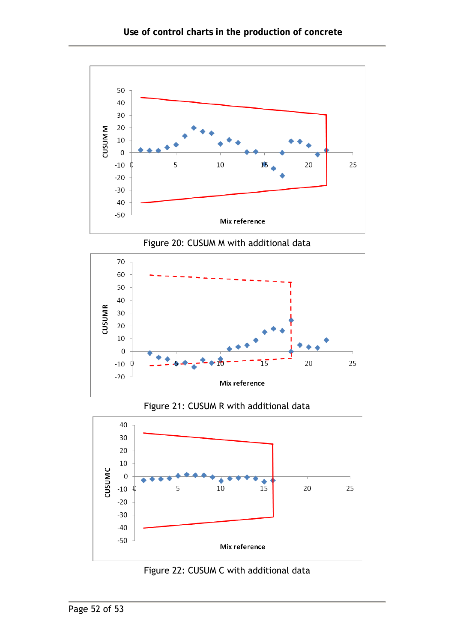